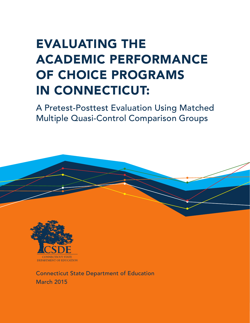## EVALUATING THE ACADEMIC PERFORMANCE OF CHOICE PROGRAMS IN CONNECTICUT:

A Pretest-Posttest Evaluation Using Matched Multiple Quasi-Control Comparison Groups



DEPARTMENT OF EDUCATION

Connecticut State Department of Education March 2015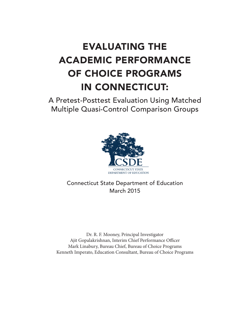## EVALUATING THE ACADEMIC PERFORMANCE OF CHOICE PROGRAMS IN CONNECTICUT:

A Pretest-Posttest Evaluation Using Matched Multiple Quasi-Control Comparison Groups



Connecticut State Department of Education March 2015

Dr. R. F. Mooney, Principal Investigator Ajit Gopalakrishnan, Interim Chief Performance Officer Mark Linabury, Bureau Chief, Bureau of Choice Programs Kenneth Imperato, Education Consultant, Bureau of Choice Programs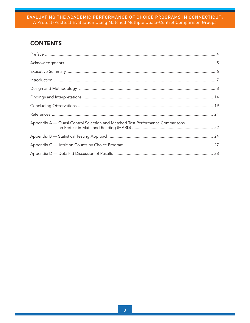## **CONTENTS**

| Appendix A — Quasi-Control Selection and Matched Test Performance Comparisons |
|-------------------------------------------------------------------------------|
|                                                                               |
|                                                                               |
|                                                                               |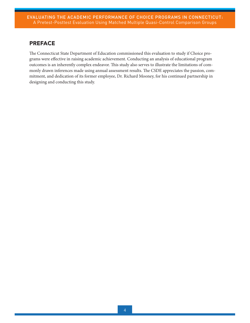## <span id="page-3-0"></span>PREFACE

The Connecticut State Department of Education commissioned this evaluation to study if Choice programs were effective in raising academic achievement. Conducting an analysis of educational program outcomes is an inherently complex endeavor. This study also serves to illustrate the limitations of commonly drawn inferences made using annual assessment results. The CSDE appreciates the passion, commitment, and dedication of its former employee, Dr. Richard Mooney, for his continued partnership in designing and conducting this study.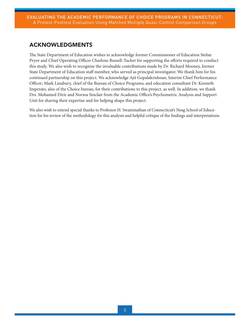## <span id="page-4-0"></span>ACKNOWLEDGMENTS

The State Department of Education wishes to acknowledge former Commissioner of Education Stefan Pryor and Chief Operating Officer Charlene Russell-Tucker for supporting the efforts required to conduct this study. We also wish to recognize the invaluable contributions made by Dr. Richard Mooney, former State Department of Education staff member, who served as principal investigator. We thank him for his continued partnership on this project. We acknowledge Ajit Gopalakrishnan, Interim Chief Performance Officer; Mark Linabury, chief of the Bureau of Choice Programs; and education consultant Dr. Kenneth Imperato, also of the Choice bureau, for their contributions to this project, as well. In addition, we thank Drs. Mohamed Dirir and Norma Sinclair from the Academic Office's Psychometric Analysis and Support Unit for sharing their expertise and for helping shape this project.

We also wish to extend special thanks to Professor H. Swaminathan of Connecticut's Neag School of Education for his review of the methodology for this analysis and helpful critique of the findings and interpretations.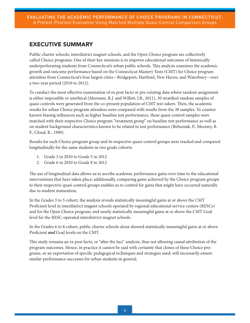## <span id="page-5-0"></span>EXECUTIVE SUMMARY

Public charter schools, interdistrict magnet schools, and the Open Choice program are collectively called Choice programs. One of their key missions is to improve educational outcomes of historically underperforming students from Connecticut's urban public schools. This analysis examines the academic growth and outcome performance based on the Connecticut Mastery Tests (CMT) for Choice program attendees from Connecticut's four largest cities—Bridgeport, Hartford, New Haven, and Waterbury—over a two-year period (2010 to 2012).

To conduct the most effective examination of ex post facto or pre-existing data where random assignment is either impossible or unethical (Murnane, R.J. and Willett, J.B., 2011), 30 stratified random samples of quasi-controls were generated from the co-present population of CMT test-takers. Then, the academic results for urban Choice program attendees were compared with results from the 30 samples. To counter known biasing influences such as higher baseline test performance, these quasi-control samples were matched with their respective Choice program "treatment group" on baseline test performance as well as on student background characteristics known to be related to test performance (Behuniak, P., Mooney, R. F., Cloud, R., 1990).

Results for each Choice program group and its respective quasi-control groups were tracked and compared longitudinally for the same students in two grade cohorts:

- 1. Grade 3 in 2010 to Grade 5 in 2012
- 2. Grade 6 in 2010 to Grade 8 in 2012

The use of longitudinal data allows us to ascribe academic performance gains over time to the educational interventions that have taken place; additionally, comparing gains achieved by the Choice program groups to their respective quasi-control groups enables us to control for gains that might have occurred naturally due to student maturation.

In the Grades 3 to 5 cohort, the analysis reveals statistically meaningful gains at or above the CMT Proficient level in interdistrict magnet schools operated by regional educational service centers (RESCs) and for the Open Choice program, and nearly statistically meaningful gains at or above the CMT Goal level for the RESC-operated interdistrict magnet schools.

In the Grades 6 to 8 cohort, public charter schools alone showed statistically meaningful gains at or above Proficient *and* Goal levels on the CMT.

This study remains an ex post facto, or "after the fact" analysis, thus not allowing causal attribution of the program outcomes. Hence, in practice it cannot be said with certainty that clones of these Choice programs, or an exportation of specific pedagogical techniques and strategies used, will necessarily ensure similar performance successes for urban students in general.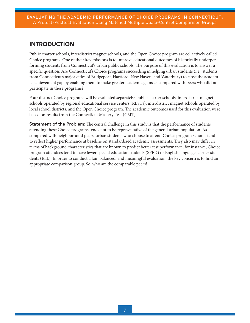## <span id="page-6-0"></span>INTRODUCTION

Public charter schools, interdistrict magnet schools, and the Open Choice program are collectively called Choice programs. One of their key missions is to improve educational outcomes of historically underperforming students from Connecticut's urban public schools. The purpose of this evaluation is to answer a specific question: Are Connecticut's Choice programs succeeding in helping urban students (i.e., students from Connecticut's major cities of Bridgeport, Hartford, New Haven, and Waterbury) to close the academic achievement gap by enabling them to make greater academic gains as compared with peers who did not participate in these programs?

Four distinct Choice programs will be evaluated separately: public charter schools, interdistrict magnet schools operated by regional educational service centers (RESCs), interdistrict magnet schools operated by local school districts, and the Open Choice program. The academic outcomes used for this evaluation were based on results from the Connecticut Mastery Test (CMT).

Statement of the Problem: The central challenge in this study is that the performance of students attending these Choice programs tends not to be representative of the general urban population. As compared with neighborhood peers, urban students who choose to attend Choice program schools tend to reflect higher performance at baseline on standardized academic assessments. They also may differ in terms of background characteristics that are known to predict better test performance; for instance, Choice program attendees tend to have fewer special education students (SPED) or English language learner students (ELL). In order to conduct a fair, balanced, and meaningful evaluation, the key concern is to find an appropriate comparison group. So, who are the comparable peers?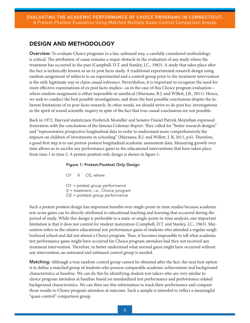## <span id="page-7-0"></span>DESIGN AND METHODOLOGY

Overview: To evaluate Choice programs in a fair, unbiased way, a carefully considered methodology is critical. The attribution of cause remains a major obstacle in the evaluation of any study where the treatment has occurred in the past (Campbell, D.T. and Stanley, J.C., 1963). A study that takes place after the fact is technically known as an ex post facto study. A traditional experimental research design using random assignment of subjects to an experimental and a control group prior to the treatment intervention is the only legitimate way to claim causal inference. Nevertheless, it is important to recognize the need for more effective examinations of ex post facto studies—as in the case of this Choice program evaluation where random assignment is either impossible or unethical (Murnane, R.J. and Willett, J.B., 2011). Hence, we seek to conduct the best possible investigations, and draw the best possible conclusions despite the inherent limitations of ex post facto research. In other words, we should strive to do post hoc investigations in the spirit of sound scientific inquiry in spite of the fact that true causal conclusions are not possible.

Back in 1972, Harvard statisticians Frederick Mosteller and Senator Daniel Patrick Moynihan expressed frustration with the conclusions of the famous Coleman Report. They called for "better research designs" and "representative prospective longitudinal data in order to understand more comprehensively the impacts on children of investments in schooling" (Murnane, R.J. and Willett, J. B, 2011, p.6). Therefore, a good first step is to use pretest-posttest longitudinal academic assessment data. Measuring growth over time allows us to ascribe any performance gains to the educational interventions that have taken place from time 1 to time 2. A pretest-posttest only design is shown in figure 1:

## Figure 1: Pretest-Posttest Only Design

- O1 X O2, where
- O1 = pretest group performance X = treatment, i.e., Choice program O2 = posttest group performance

Such a pretest-posttest design has important benefits over single-point-in-time studies because academic test-score gains can be directly attributed to educational teaching and learning that occurred during the period of study. While this design is preferable to a static or single-point-in-time analysis, one important limitation is that it does not control for student maturation (Campbell, D.T. and Stanley, J.C., 1963). Maturation refers to the relative educational test performance gains of students who attended a regular neighborhood school and did not attend a Choice program. Thus, it becomes impossible to tell what academic test performance gains might have occurred for Choice program attendees had they not received any treatment intervention. Therefore, to better understand what normal gains might have occurred without any intervention, an untreated and unbiased control group is needed.

Matching: Although a true random control group cannot be obtained after the fact, the next best option is to define a matched group of students who possess comparable academic achievement and background characteristics at baseline. We can do this by identifying student test-takers who are very similar to choice program attendees at baseline based on standardized test performance and performance related background characteristics. We can then use this information to track their performance and compare those results to Choice program attendees at outcome. Such a sample is intended to reflect a meaningful "quasi-control" comparison group.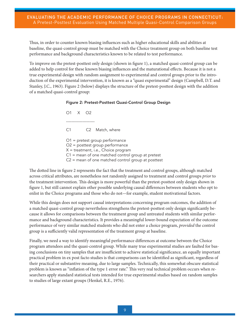Thus, in order to counter known biasing influences such as higher educational skills and abilities at baseline, the quasi-control group must be matched with the Choice treatment group on both baseline test performance and background characteristics known to be related to test performance.

To improve on the pretest-posttest only design (shown in figure 1), a matched quasi-control group can be added to help control for these known biasing influences and the maturational effects. Because it is not a true experimental design with random assignment to experimental and control groups prior to the introduction of the experimental intervention, it is known as a "quasi experimental" design (Campbell, D.T. and Stanley, J.C., 1963). Figure 2 (below) displays the structure of the pretest-posttest design with the addition of a matched quasi-control group:

## Figure 2: Pretest-Posttest Quasi-Control Group Design

O1 X O2 --------------------- C1 C2 Match, where O1 = pretest group performance O2 = posttest group performance X = treatment, i.e., Choice program C1 = mean of one matched control group at pretest C2 = mean of one matched control group at posttest

The dotted line in figure 2 represents the fact that the treatment and control groups, although matched across critical attributes, are nonetheless not randomly assigned to treatment and control groups *prior* to the treatment intervention. This design is more powerful than the pretest-posttest only design shown in figure 1, but still cannot explain other possible underlying causal differences between students who opt to enlist in the Choice programs and those who do not—for example, student motivational factors.

While this design does not support causal interpretations concerning program outcomes, the addition of a matched quasi-control group nevertheless strengthens the pretest-posttest only design significantly because it allows for comparisons between the treatment group and untreated students with similar performance and background characteristics. It provides a meaningful lower-bound expectation of the outcome performance of very similar matched students who did not enter a choice program, *provided* the control group is a sufficiently valid representation of the treatment group at baseline.

Finally, we need a way to identify meaningful performance differences at outcome between the Choice program attendees and the quasi-control group. While many true experimental studies are faulted for basing conclusions on tiny samples that are insufficient to achieve statistical significance, an equally important practical problem in ex post facto studies is that comparisons can be identified as significant, regardless of their practical or substantive meaning, due to large samples. Technically, this somewhat obscure statistical problem is known as "inflation of the type 1 error rate." This very real technical problem occurs when researchers apply standard statistical tests intended for true experimental studies based on random samples to studies of large extant groups (Henkel, R.E., 1976).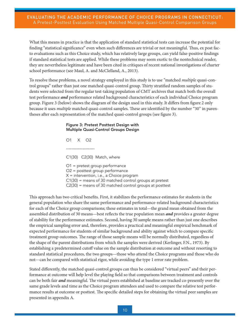What this means in practice is that the application of standard statistical tests can increase the potential for finding "statistical significance" even when such differences are trivial or not meaningful. Thus, ex post facto evaluations such as this Choice study, which has relatively large groups, can yield false-positive findings if standard statistical tests are applied. While these problems may seem exotic to the nontechnical reader, they are nevertheless legitimate and have been cited in critiques of recent national investigations of charter school performance (see Maul, A. and McClelland, A., 2013).

To resolve these problems, a novel strategy employed in this study is to use "matched *multiple* quasi-control groups" rather than just one matched quasi-control group. Thirty stratified random samples of students were selected from the regular test-taking population of CMT archives that match both the overall test performance *and* performance related background characteristics of each individual Choice program group. Figure 3 (below) shows the diagram of the design used in this study. It differs from figure 2 only because it uses *multiple* matched quasi-control samples. These are identified by the number "30" in parentheses after each representation of the matched quasi-control groups (see figure 3).

## Figure 3: Pretest Posttest Design with Multiple Quasi-Control Groups Design

O1 X O2 --------------------- C1(30) C2(30) Match, where O1 = pretest group performance O2 = posttest group performance X = intervention, i.e., a Choice program C1(30) = means of 30 matched control groups at pretest C2(30) = means of 30 matched control groups at posttest

This approach has two critical benefits. First, it stabilizes the performance estimates for students in the general population who share the same performance and performance-related background characteristics for each of the Choice group comparisons; these estimates in total—the grand mean obtained from the assembled distribution of 30 means—best reflects the true population mean *and* provides a greater degree of stability for the performance estimates. Second, having 30 sample means rather than just one describes the empirical sampling error and, therefore, provides a practical and meaningful empirical benchmark of expected performance for students of similar background and ability against which to compare specific treatment group outcomes. The range of those sample means will be normally distributed, regardless of the shape of the parent distributions from which the samples were derived (Kerlinger, F.N., 1973). By establishing a predetermined cutoff value on the sample distribution at outcome and without resorting to standard statistical procedures, the two groups—those who attend the Choice programs and those who do not—can be compared with statistical rigor, while avoiding the type 1 error rate problem.

Stated differently, the matched quasi-control groups can thus be considered "virtual peers" and their performance at outcome will help level the playing field so that comparisons between treatment and controls can be both fair *and* meaningful. The virtual peers established at baseline are tracked co-presently over the same grade levels and time as the Choice program attendees and used to compare the relative test performance results at outcome or posttest. The specific detailed steps for obtaining the virtual peer samples are presented in appendix A.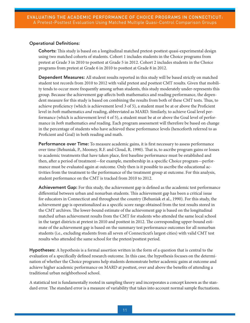## Operational Definitions:

Cohorts: This study is based on a longitudinal matched pretest-posttest quasi-experimental design using two matched cohorts of students. Cohort 1 includes students in the Choice programs from pretest at Grade 3 in 2010 to posttest at Grade 5 in 2012. Cohort 2 includes students in the Choice programs from pretest at Grade 6 in 2010 to posttest at Grade 8 in 2012.

Dependent Measures: All student results reported in this study will be based strictly on matched student test records from 2010 to 2012 with valid pretest and posttest CMT results. Given that mobility tends to occur more frequently among urban students, this study moderately under-represents this group. Because the achievement gap affects both mathematics and reading performance, the dependent measure for this study is based on combining the results from both of these CMT tests. Thus, to achieve proficiency (which is achievement level 3 of 5), a student must be at or above the Proficient level in *both* mathematics *and* reading, abbreviated as MARD. Similarly, to achieve Goal level performance (which is achievement level 4 of 5), a student must be at or above the Goal level of performance in *both* mathematics *and* reading. Each program assessment will therefore be based on change in the percentage of students who have achieved these performance levels (henceforth referred to as Proficient and Goal) in both reading and math.

Performance over Time: To measure academic gains, it is first necessary to assess performance over time (Behuniak, P., Mooney, R.F. and Cloud, R, 1990). That is, to ascribe program gains or losses to academic treatments that have taken place, first baseline performance must be established and then, after a period of treatment—for example, membership in a specific Choice program—performance must be evaluated again at outcome. Only then is it possible to ascribe the educational activities from the treatment to the performance of the treatment group at outcome. For this analysis, student performance on the CMT is tracked from 2010 to 2012.

Achievement Gap: For this study, the achievement gap is defined as the academic test performance differential between urban and nonurban students. This achievement gap has been a critical issue for educators in Connecticut and throughout the country (Behuniak et al., 1990). For this study, the achievement gap is operationalized as a specific score range obtained from the test results stored in the CMT archives. The lower-bound estimate of the achievement gap is based on the longitudinal matched urban achievement results from the CMT for students who attended the same local school in the target districts at pretest in 2010 and posttest in 2012. The corresponding upper-bound estimate of the achievement gap is based on the summary test performance outcomes for all nonurban students (i.e., excluding students from all seven of Connecticut's largest cities) with valid CMT test results who attended the same school for the pretest/posttest period.

Hypotheses: A hypothesis is a formal assertion written in the form of a question that is central to the evaluation of a specifically defined research outcome. In this case, the hypothesis focuses on the determination of whether the Choice programs help students demonstrate better academic gains at outcome and achieve higher academic performance on MARD at posttest, over and above the benefits of attending a traditional urban neighborhood school.

A statistical test is fundamentally rooted in sampling theory and incorporates a concept known as the standard error. The standard error is a measure of variability that takes into account normal sample fluctuations.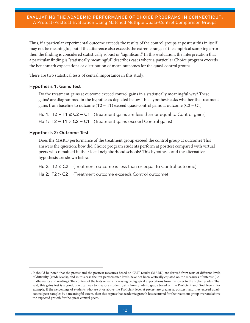Thus, if a particular experimental outcome exceeds the results of the control groups at posttest this in itself may not be meaningful, but if the difference also exceeds the extreme range of the empirical sampling error then the finding is considered statistically robust or "significant." In this evaluation, the interpretation that a particular finding is "statistically meaningful" describes cases where a particular Choice program exceeds the benchmark expectations or distribution of mean outcomes for the quasi-control groups.

There are two statistical tests of central importance in this study:

## Hypothesis 1: Gains Test

Do the treatment gains at outcome exceed control gains in a statistically meaningful way? These gains**<sup>1</sup>** are diagrammed in the hypotheses depicted below. This hypothesis asks whether the treatment gains from baseline to outcome  $(T2 - T1)$  exceed quasi-control gains at outcome  $(C2 - C1)$ .

Ho 1: T2 − T1 ≤ C2 − C1 (Treatment gains are less than or equal to Control gains) Ha 1: T2 – T1 > C2 – C1 (Treatment gains exceed Control gains)

## Hypothesis 2: Outcome Test

Does the MARD performance of the treatment group exceed the control group at outcome? This answers the question: how did Choice program students perform at posttest compared with virtual peers who remained in their local neighborhood schools? This hypothesis and the alternative hypothesis are shown below.

Ho 2:  $T2 \leq C2$  (Treatment outcome is less than or equal to Control outcome)

Ha 2: T2 > C2 (Treatment outcome exceeds Control outcome)

<sup>1.</sup> It should be noted that the pretest and the posttest measures based on CMT results (MARD) are derived from tests of different levels of difficulty (grade levels), and in this case the test performance levels have not been vertically equated on the measures of interest (i.e., mathematics and reading). The content of the tests reflects increasing pedagogical expectations from the lower to the higher grades. That said, this gains test is a good, practical way to measure student gains from grade to grade based on the Proficient and Goal levels. For example, if the percentage of students who are at or above the Proficient level at pretest are greater at posttest, and they exceed quasicontrol peer samples by a meaningful extent, then this argues that academic growth has occurred for the treatment group over and above the expected growth for the quasi-control peers.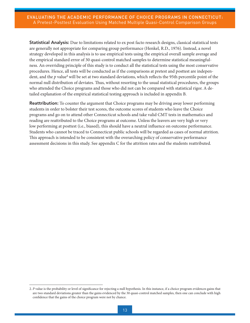Statistical Analysis: Due to limitations related to ex post facto research designs, classical statistical tests are generally not appropriate for comparing group performance (Henkel, R.D., 1976). Instead, a novel strategy developed in this analysis is to use empirical tests using the empirical overall sample average and the empirical standard error of 30 quasi-control matched samples to determine statistical meaningfulness. An overriding principle of this study is to conduct all the statistical tests using the most conservative procedures. Hence, all tests will be conducted as if the comparisons at pretest and posttest are independent, and the p value<sup>2</sup> will be set at two standard deviations, which reflects the 95th percentile point of the normal null distribution of deviates. Thus, without resorting to the usual statistical procedures, the groups who attended the Choice programs and those who did not can be compared with statistical rigor. A detailed explanation of the empirical statistical testing approach is included in appendix B.

**Reattribution:** To counter the argument that Choice programs may be driving away lower performing students in order to bolster their test scores, the outcome scores of students who leave the Choice programs and go on to attend other Connecticut schools and take valid CMT tests in mathematics and reading are reattributed to the Choice programs at outcome. Unless the leavers are very high or very low performing at posttest (i.e., biased), this should have a neutral influence on outcome performance. Students who cannot be traced to Connecticut public schools will be regarded as cases of normal attrition. This approach is intended to be consistent with the overarching policy of conservative performance assessment decisions in this study. See appendix C for the attrition rates and the students reattributed.

<sup>2.</sup> *P* value is the probability or level of significance for rejecting a null hypothesis. In this instance, if a choice program evidences gains that are two standard deviations greater than the gains evidenced by the 30 quasi-control matched samples, then one can conclude with high confidence that the gains of the choice program were not by chance.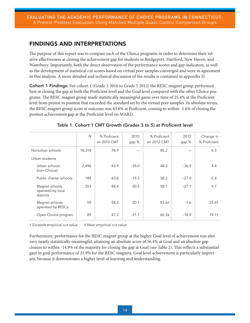## <span id="page-13-0"></span>FINDINGS AND INTERPRETATIONS

The purpose of this report was to compare each of the Choice programs in order to determine their relative effectiveness at closing the achievement gap for students in Bridgeport, Hartford, New Haven, and Waterbury. Importantly, both the direct observation of the performance scores and gap indicators, as well as the development of statistical cut scores based on virtual peer samples converged and were in agreement in this analysis. A more detailed and technical discussion of the results is contained in appendix D.

Cohort 1 Findings: For cohort 1 (Grade 3 2010 to Grade 5 2012) the RESC magnet group performed best at closing the gap at both the Proficient level and the Goal level compared with the other Choice programs. The RESC magnet group made statistically meaningful gains over time of 25.4% at the Proficient level from pretest to posttest that exceeded the standard set by the virtual peer samples. In absolute terms, the RESC magnet group score at outcome was 83.6% at Proficient, coming to within -1.6% of closing the posttest achievement gap at the Proficient level on MARD.

|                                                  | $\mathsf{N}$ | % Proficient<br>on 2010 CMT | 2010<br>gap %     | % Proficient<br>on 2012 CMT | 2012<br>gap %     | Change in<br>% Proficient |
|--------------------------------------------------|--------------|-----------------------------|-------------------|-----------------------------|-------------------|---------------------------|
| Nonurban schools                                 | 18,318       | 78.9                        | $\qquad \qquad -$ | 85.2                        | $\qquad \qquad -$ | 6.3                       |
| Urban students                                   |              |                             |                   |                             |                   |                           |
| Urban schools<br>(non-Choice)                    | 2,496        | 43.9                        | $-35.0$           | 48.3                        | $-36.9$           | 4.4                       |
| Public charter schools                           | 184          | 63.6                        | $-15.3$           | 58.2                        | $-27.0$           | $-5.4$                    |
| Magnet schools<br>operated by local<br>districts | 353          | 48.4                        | $-30.5$           | 58.1                        | $-27.1$           | 9.7                       |
| Magnet schools<br>operated by RESCs              | 55           | 58.2                        | $-20.7$           | 83.6†                       | $-1.6$            | $25.4+$                   |
| Open Choice program                              | 89           | 47.2                        | $-31.7$           | 66.3‡                       | $-18.9$           | 19.1 <sub>†</sub>         |

## Table 1. Cohort 1 CMT Growth (Grades 3 to 5) at Proficient level

*† Exceeds empirical cut value ‡ Near empirical cut value*

Furthermore, performance for the RESC magnet group at the higher Goal level of achievement was also very nearly statistically meaningful, attaining an absolute score of 56.4% at Goal and an absolute gap closure to within -14.9% of the majority for closing the gap at Goal (see Table 2). This reflects a substantial gain in goal performance of 21.9% for the RESC magnets. Goal level achievement is particularly important, because it demonstrates a higher level of learning and understanding.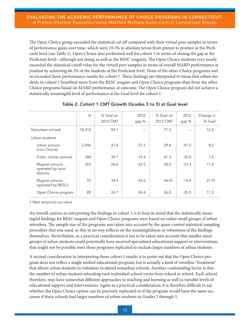The Open Choice group exceeded the statistical cut off compared with their virtual peer samples in terms of performance gains over time, which were 19.1% in absolute terms from pretest to posttest at the Proficient level (see Table 1). Open Choice also performed well for cohort 1 in terms of closing the gap at the Proficient level—although not doing as well as the RESC magnets. The Open Choice students very nearly exceeded the statistical cutoff value for the virtual peer samples in terms of overall MARD performance at posttest by achieving 66.3% of the students at the Proficient level. None of the other Choice programs met or exceeded these performance results for cohort 1. These findings are interpreted to mean that urban students in cohort 1 benefited more from the RESC magnet and Open Choice programs than from the other Choice programs based on MARD performance at outcome. The Open Choice program did not achieve a statistically meaningful level of performance at the Goal level for cohort 1.

|                                                  | $\mathsf{N}$ | % Goal on<br>2010 CMT | 2010<br>gap % | % Goal on<br>2012 CMT | 2012<br>gap % | Change in<br>% Goal |
|--------------------------------------------------|--------------|-----------------------|---------------|-----------------------|---------------|---------------------|
| Nonurban schools                                 | 18,318       | 59.1                  | $-$           | 71.3                  | $-$           | 12.2                |
| Urban students                                   |              |                       |               |                       |               |                     |
| Urban schools<br>(non-Choice)                    | 2,496        | 21.6                  | $-37.5$       | 29.8                  | $-41.5$       | 8.2                 |
| Public charter schools                           | 184          | 39.7                  | $-19.4$       | 41.3                  | $-30.0$       | 1.6                 |
| Magnet schools<br>operated by local<br>districts | 353          | 26.6                  | $-32.5$       | 38.0                  | $-33.3$       | 11.4                |
| Magnet schools<br>operated by RESCs              | 55           | 34.5                  | $-24.6$       | 56.4†                 | $-14.9$       | 21.9 <sub>†</sub>   |
| Open Choice program                              | 89           | 24.7                  | $-34.4$       | 36.0                  | $-35.3$       | 11.3                |

## Table 2. Cohort 1 CMT Growth (Grades 3 to 5) at Goal level

*† Near empirical cut value*

An overall caution in interpreting the findings in cohort 1 is to bear in mind that the statistically meaningful findings for RESC magnet and Open Choice programs were based on rather small groups of urban attendees. The sample size of the programs was taken into account by the quasi-control statistical sampling procedure that was used, so this in no way reflects on the meaningfulness or robustness of the findings themselves. Nevertheless, as a practical consideration it has to be taken into account that smaller sized groups of urban students could potentially have received specialized educational support or interventions that might not be possible were these programs replicated to include larger numbers of urban students.

A second consideration in interpreting these cohort 1 results is to point out that the Open Choice program does not reflect a single unified educational program, but is actually a kind of omnibus "treatment" that allows urban students to volunteer to attend nonurban schools. Another confounding factor is that the number of urban students attending each individual school varies from school to school. Each school, therefore, may have somewhat different approaches to teaching and learning as well as variable levels of educational support and interventions. Again as a practical consideration, it is therefore difficult to say whether the Open Choice option can be precisely replicated or if the program would have the same successes if these schools had larger numbers of urban students in Grades 3 through 5.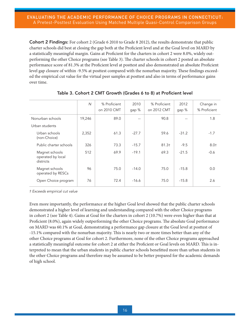Cohort 2 Findings: For cohort 2 (Grade 6 2010 to Grade 8 2012), the results demonstrate that public charter schools did best at closing the gap both at the Proficient level and at the Goal level on MARD by a statistically meaningful margin. Gains at Proficient for the charters in cohort 2 were 8.0%, widely outperforming the other Choice programs (see Table 3). The charter schools in cohort 2 posted an absolute performance score of 81.3% at the Proficient level at posttest and also demonstrated an absolute Proficient level gap closure of within -9.5% at posttest compared with the nonurban majority. These findings exceeded the empirical cut value for the virtual peer samples at posttest and also in terms of performance gains over time.

|                                                  | $\mathsf{N}$ | % Proficient<br>on 2010 CMT | 2010<br>gap % | % Proficient<br>on 2012 CMT | 2012<br>gap % | Change in<br>% Proficient |
|--------------------------------------------------|--------------|-----------------------------|---------------|-----------------------------|---------------|---------------------------|
| Nonurban schools                                 | 19,246       | 89.0                        | $-$           | 90.8                        |               | 1.8                       |
| Urban students                                   |              |                             |               |                             |               |                           |
| Urban schools<br>(non-Choice)                    | 2,352        | 61.3                        | $-27.7$       | 59.6                        | $-31.2$       | $-1.7$                    |
| Public charter schools                           | 326          | 73.3                        | $-15.7$       | $81.3 +$                    | $-9.5$        | 8.0 <sub>†</sub>          |
| Magnet schools<br>operated by local<br>districts | 512          | 69.9                        | $-19.1$       | 69.3                        | $-21.5$       | $-0.6$                    |
| Magnet schools<br>operated by RESCs              | 96           | 75.0                        | $-14.0$       | 75.0                        | $-15.8$       | 0.0                       |
| Open Choice program                              | 76           | 72.4                        | $-16.6$       | 75.0                        | $-15.8$       | 2.6                       |

Table 3. Cohort 2 CMT Growth (Grades 6 to 8) at Proficient level

*† Exceeds empirical cut value*

Even more importantly, the performance at the higher Goal level showed that the public charter schools demonstrated a higher level of learning and understanding compared with the other Choice programs in cohort 2 (see Table 4). Gains at Goal for the charters in cohort 2 (10.7%) were even higher than that at Proficient (8.0%), again widely outperforming the other Choice programs. The absolute Goal performance on MARD was 60.1% at Goal, demonstrating a performance gap closure at the Goal level at posttest of -15.1% compared with the nonurban majority. This is nearly two or more times better than any of the other Choice programs at Goal for cohort 2. Furthermore, none of the other Choice programs approached a statistically meaningful outcome for cohort 2 at either the Proficient or Goal levels on MARD. This is interpreted to mean that the urban students in public charter schools benefitted more than urban students in the other Choice programs and therefore may be assumed to be better prepared for the academic demands of high school.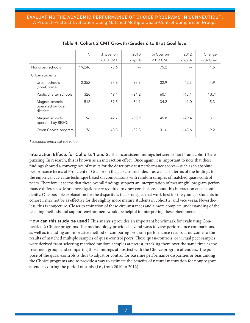|                                                  | $\mathsf{N}$ | % Goal on<br>2010 CMT | 2010<br>gap % | % Goal on<br>2012 CMT | 2012<br>gap % | Change<br>in % Goal |
|--------------------------------------------------|--------------|-----------------------|---------------|-----------------------|---------------|---------------------|
| Nonurban schools                                 | 19,246       | 73.6                  |               | 75.2                  |               | 1.6                 |
| Urban students                                   |              |                       |               |                       |               |                     |
| Urban schools<br>(non-Choice)                    | 2,352        | 37.8                  | $-35.8$       | 32.9                  | $-42.3$       | $-4.9$              |
| Public charter schools                           | 326          | 49.4                  | $-24.2$       | $60.1$ †              | $-15.1$       | 10.7 <sub>†</sub>   |
| Magnet schools<br>operated by local<br>districts | 512          | 39.5                  | $-34.1$       | 34.2                  | $-41.0$       | $-5.3$              |
| Magnet schools<br>operated by RESCs              | 96           | 42.7                  | $-30.9$       | 45.8                  | $-29.4$       | 3.1                 |
| Open Choice program                              | 76           | 40.8                  | $-32.8$       | 31.6                  | $-43.6$       | $-9.2$              |

## Table 4. Cohort 2 CMT Growth (Grades 6 to 8) at Goal level

*† Exceeds empirical cut value*

Interaction Effects for Cohorts 1 and 2: The inconsistent findings between cohort 1 and cohort 2 are puzzling. In research, this is known as an interaction effect. Once again, it is important to note that these findings showed a convergence of results for the descriptive test performance scores—such as in absolute performance terms at Proficient or Goal or on the gap closure index—as well as in terms of the findings for the empirical cut-value technique based on comparisons with random samples of matched quasi-control peers. Therefore, it seems that these overall findings support an interpretation of meaningful program performance differences. More investigations are required to draw conclusions about this interaction effect confidently. One possible explanation for the disparity is that strategies that work best for the younger students in cohort 1 may not be as effective for the slightly more mature students in cohort 2, and vice versa. Nevertheless, this is conjecture. Closer examination of these circumstances and a more complete understanding of the teaching methods and support environment would be helpful in interpreting these phenomena.

How can this study be used? This analysis provides an important benchmark for evaluating Connecticut's Choice programs. The methodology provided several ways to view performance comparisons, as well as including an innovative method of comparing program performance results at outcome to the results of matched multiple samples of quasi-control peers. These quasi-controls, or virtual peer samples, were derived from selecting matched random samples at pretest, tracking them over the same time as the treatment group, and comparing those findings at posttest with the Choice program attendees. The purpose of the quasi-controls is thus to adjust or control for baseline performance disparities or bias among the Choice programs and to provide a way to estimate the benefits of natural maturation for nonprogram attendees during the period of study (i.e., from 2010 to 2012).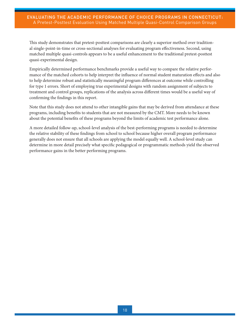This study demonstrates that pretest-posttest comparisons are clearly a superior method over traditional single-point-in-time or cross-sectional analyses for evaluating program effectiveness. Second, using matched multiple quasi-controls appears to be a useful enhancement to the traditional pretest-posttest quasi-experimental design.

Empirically determined performance benchmarks provide a useful way to compare the relative performance of the matched cohorts to help interpret the influence of normal student maturation effects and also to help determine robust and statistically meaningful program differences at outcome while controlling for type 1 errors. Short of employing true experimental designs with random assignment of subjects to treatment and control groups, replications of the analysis across different times would be a useful way of confirming the findings in this report.

Note that this study does not attend to other intangible gains that may be derived from attendance at these programs, including benefits to students that are not measured by the CMT. More needs to be known about the potential benefits of these programs beyond the limits of academic test performance alone.

A more detailed follow-up, school-level analysis of the best-performing programs is needed to determine the relative stability of these findings from school to school because higher overall program performance generally does not ensure that all schools are applying the model equally well. A school-level study can determine in more detail precisely what specific pedagogical or programmatic methods yield the observed performance gains in the better performing programs.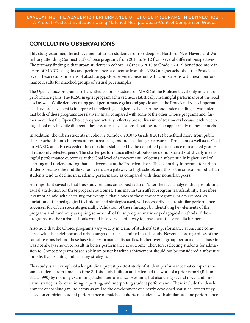## <span id="page-18-0"></span>CONCLUDING OBSERVATIONS

This study examined the achievement of urban students from Bridgeport, Hartford, New Haven, and Waterbury attending Connecticut's Choice programs from 2010 to 2012 from several different perspectives. The primary finding is that urban students in cohort 1 (Grade 3 2010 to Grade 5 2012) benefitted more in terms of MARD test gains and performance at outcome from the RESC magnet schools at the Proficient level. These results in terms of absolute gap closure were consistent with comparisons with mean performance results for matched groups of virtual peer samples.

The Open Choice program also benefitted cohort 1 students on MARD at the Proficient level only in terms of performance gains. The RESC magnet program achieved near statistically meaningful performance at the Goal level as well. While demonstrating good performance gains and gap closure at the Proficient level is important, Goal level achievement is interpreted as reflecting a higher level of learning and understanding. It was noted that both of these programs are relatively small compared with some of the other Choice programs and, furthermore, that the Open Choice program actually reflects a broad diversity of treatments because each receiving school may be quite different. These issues raise questions about the broader applicability of these models.

In addition, the urban students in cohort 2 (Grade 6 2010 to Grade 8 2012) benefitted more from public charter schools both in terms of performance gains and absolute gap closure at Proficient as well as at Goal on MARD, and also exceeded the cut value established by the combined performance of matched groups of randomly selected peers. The charter performance effects at outcome demonstrated statistically meaningful performance outcomes at the Goal level of achievement, reflecting a substantially higher level of learning and understanding than achievement at the Proficient level. This is notably important for urban students because the middle school years are a gateway to high school, and this is the critical period urban students tend to decline in academic performance as compared with their nonurban peers.

An important caveat is that this study remains an ex post facto or "after the fact" analysis, thus prohibiting causal attribution for these program outcomes. This may in turn affect program transferability. Therefore, it cannot be said with certainty, for example, that clones of these choice programs, or a piecemeal exportation of the pedagogical techniques and strategies used, will necessarily ensure similar performance successes for urban students generally. Validation of these findings by identifying key elements of the programs and randomly assigning some or all of these programmatic or pedagogical methods of these programs to other urban schools would be a very helpful way to crosscheck these results further.

Also note that the Choice programs vary widely in terms of students' test performance at baseline compared with the neighborhood urban target districts examined in this study. Nevertheless, regardless of the causal reasons behind these baseline performance disparities, higher overall group performance at baseline was not always shown to result in better performance at outcome. Therefore, selecting students for admission to Choice programs based solely on better baseline achievement should not be considered a substitute for effective teaching and learning strategies.

This study is an example of a longitudinal pretest posttest study of student performance that compares the same students from time 1 to time 2. This study built on and extended the work of a prior report (Behuniak et al., 1990) by not only examining student performance over time, but also using several novel and innovative strategies for examining, reporting, and interpreting student performance. These include the development of absolute gap indicators as well as the development of a newly developed statistical test strategy based on empirical student performance of matched cohorts of students with similar baseline performance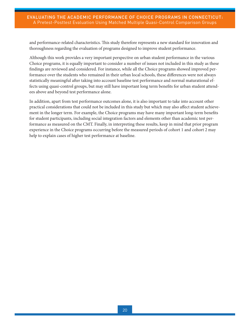and performance-related characteristics. This study therefore represents a new standard for innovation and thoroughness regarding the evaluation of programs designed to improve student performance.

Although this work provides a very important perspective on urban student performance in the various Choice programs, it is equally important to consider a number of issues not included in this study as these findings are reviewed and considered. For instance, while all the Choice programs showed improved performance over the students who remained in their urban local schools, these differences were not always statistically meaningful after taking into account baseline test performance and normal maturational effects using quasi-control groups, but may still have important long term benefits for urban student attendees above and beyond test performance alone.

In addition, apart from test performance outcomes alone, it is also important to take into account other practical considerations that could not be included in this study but which may also affect student achievement in the longer term. For example, the Choice programs may have many important long-term benefits for student participants, including social integration factors and elements other than academic test performance as measured on the CMT. Finally, in interpreting these results, keep in mind that prior program experience in the Choice programs occurring before the measured periods of cohort 1 and cohort 2 may help to explain cases of higher test performance at baseline.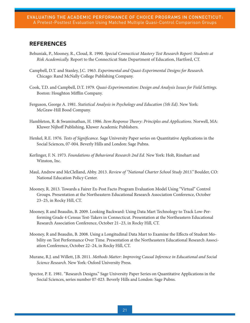## <span id="page-20-0"></span>REFERENCES

- Behuniak, P., Mooney, R., Cloud, R. 1990. *Special Connecticut Mastery Test Research Report: Students at Risk Academically.* Report to the Connecticut State Department of Education, Hartford, CT.
- Campbell, D.T. and Stanley, J.C. 1963. *Experimental and Quasi-Experimental Designs for Research.* Chicago: Rand McNally College Publishing Company.
- Cook, T.D. and Campbell, D.T. 1979. *Quasi-Experimentation: Design and Analysis Issues for Field Settings.* Boston: Houghton Mifflin Company.
- Ferguson, George A. 1981. *Statistical Analysis in Psychology and Education (5th Ed).* New York: McGraw-Hill Bood Company.
- Hambleton, R. & Swaminathan, H. 1986. *Item Response Theory: Principles and Applications.* Norwell, MA: Kluwer Nijhoff Publishing, Kluwer Academic Publishers.
- Henkel, R.E. 1976. *Tests of Significance.* Sage University Paper series on Quantitative Applications in the Social Sciences, 07-004. Beverly Hills and London: Sage Pubns.
- Kerlinger, F. N. 1973. *Foundations of Behavioral Research 2nd Ed.* New York: Holt, Rinehart and Winston, Inc.
- Maul, Andrew and McClelland, Abby. 2013. *Review of "National Charter School Study 2013."* Boulder, CO: National Education Policy Center.
- Mooney, R. 2013. Towards a Fairer Ex-Post Facto Program Evaluation Model Using "Virtual" Control Groups. Presentation at the Northeastern Educational Research Association Conference, October 23–25, in Rocky Hill, CT.
- Mooney, R and Beaudin, B. 2009. Looking Backward: Using Data Mart Technology to Track Low-Performing Grade 4 Census Test-Takers in Connecticut. Presentation at the Northeastern Educational Research Association Conference, October 21–23, in Rocky Hill, CT.
- Mooney, R and Beaudin, B. 2008. Using a Longitudinal Data Mart to Examine the Effects of Student Mobility on Test Performance Over Time. Presentation at the Northeastern Educational Research Association Conference, October 22–24, in Rocky Hill, CT.
- Murane, R.J. and Willett, J.B. 2011. *Methods Matter: Improving Causal Inference in Educational and Social Science Research.* New York: Oxford University Press.
- Spector, P. E. 1981. "Research Designs." Sage University Paper Series on Quantitative Applications in the Social Sciences, series number 07-023. Beverly Hills and London: Sage Pubns.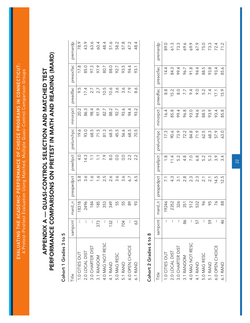## <span id="page-21-0"></span>PERFORMANCE COMPARISONS ON PRETEST IN MATH AND READING (MARD) PERFORMANCE COMPARISONS ON PRETEST IN MATH AND READING (MARD) APPENDIX A — QUASI-CONTROL SELECTION AND MATCHED TEST APPENDIX A - QUASI-CONTROL SELECTION AND MATCHED TEST

Cohort 1 Grades 3 to 5 Cohort 1 Grades 3 to 5

| Title            | sampcnt          | mard_n | respedpct      | preellpct                | prelunchpc                | minorpct     | preedfac      | oresocfac | premardp             |
|------------------|------------------|--------|----------------|--------------------------|---------------------------|--------------|---------------|-----------|----------------------|
| 1.0 CITIES OUT   |                  | 18318  | 5.8            | $rac{1}{4}$              | 19.6                      | 20.2         | 9.5           | 17.8      | 78.9                 |
| 2.0 LOCAL DIST   |                  | 2496   | 3.6            | 14.3                     | 93.0                      | 86.3         | 17.4          | 85.0      | 43.9                 |
| 3.0 CHARTER DIST |                  | 184    | $\ddot{6}$     | $\overline{\phantom{a}}$ | 68.5                      | 98.4         |               | 97.3      |                      |
| 3.1 RANDOM       | 373              | 185    | $\sim$         | $\sum$                   |                           | 97.9         |               | 97.9      |                      |
| 4.0 MAG NOT RESC | Ł                | 353    | 2.5            |                          | $71.\overline{5}$<br>81.3 |              | 2775666699    | 80.7      | 8345<br>8458<br>8458 |
| 4.1 RAND         | $\sim$<br><br>13 | 349    |                |                          | 68.5                      | 82.7<br>88.2 |               | 88.0      |                      |
| 5.0 MAG RESC     |                  | 55     | $2.6$<br>$3.6$ |                          | 45.5                      | 92.7         |               | 92.7      |                      |
| 5.1 RAND         | 704              | 55     | $3.6$<br>$6.7$ |                          | 56.6                      | 93.6         |               | 93.5      |                      |
| 6.0 OPEN CHOICE  | ŧ                | 88     |                |                          | 68.5<br>70.5              | 94.4         |               | 94.4      | 57.3<br>48.4<br>48.4 |
| 6.1 RAND         | ო<br>۰Ó          | 93     | 6.5            |                          |                           | 93.2         | $\frac{6}{8}$ | 93.1      |                      |

## Cohort 2 Grades 6 to 8 Cohort 2 Grades 6 to 8

| <b>Title</b>     | sampcnt                  | mard_n | prespedpct       | preellpct        | prelunchpc     | minorpct | preedfac                | presocfac    | premardp |
|------------------|--------------------------|--------|------------------|------------------|----------------|----------|-------------------------|--------------|----------|
| 1.0 CITIES OUT   | $\mathbf{I}$             | 19246  | $\overline{7.1}$ |                  |                | 16.4     | $\frac{8}{8}$           | 14.4         | 89.0     |
| 2.0 LOCAL DIST   | I                        | 2352   | $4.\overline{3}$ | $\frac{1}{11}$ 4 | $17.3$<br>90.6 | 85.8     | 15.2                    | 84.3         | 61.3     |
| 3.0 CHARTER DIST | $\mathbf{I}$             | 326    | $\overline{3}.1$ | 5.2              | 73.9           | 99.4     |                         | 99.4         | 73.3     |
| 3.1 RANDOM       | 86                       | 351    | 2.8              | $4.\overline{8}$ | 72.2           | 96.8     | 8.7<br>7.7              | 96.7         | 69.6     |
| 4.0 MAG NOT RESC | $\overline{\phantom{a}}$ | 512    | $2.\overline{3}$ | <b>D.C</b>       | 84.8           | 93.0     | $\delta$ .4             |              | 69.9     |
| 4.1 RAND         | 57                       | 532    | $2.\overline{3}$ | 6.8              | 71.9           | 94.6     | 9.0                     | 91.8<br>94.4 |          |
| 5.0 MAG RESC     | $\mathbf{I}$             | 96     | 2.1              | 5.2              | 62.5           | 88.5     | $5.\overline{2}$<br>7.4 | 88.5         | 67.9     |
| 5.1 RAND         | 59                       | 95     | 2.1              | 5.3              | 68.3           | 93.9     |                         | 93.8         | 73.3     |
| 6.0 OPEN CHOICE  | $\mathbf{I}$             | 76     | 14.5             | 3.9              | 57.9           | 93.4     | 17.1                    | 93.4         | 72.4     |
| 6.1 RAND         | 46                       | 88     | 12.5             | 3.4              | 63.0           | 85.8     | 15.9                    | 85.6         | 71.2     |

22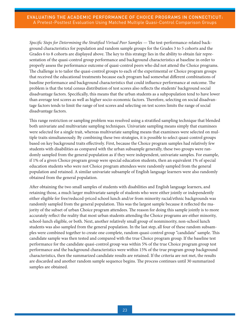*Specific Steps for Determining the Stratified Virtual Peer Samples* — The test-performance-related background characteristics for population and random sample groups for the Grades 3 to 5 cohorts and the Grades 6 to 8 cohorts are displayed above. The key to this strategy lies in the ability to obtain fair representation of the quasi-control group performance and background characteristics at baseline in order to properly assess the performance outcome of quasi-control peers who did not attend the Choice programs. The challenge is to tailor the quasi-control groups to each of the experimental or Choice program groups that received the educational treatments because each program had somewhat different combinations of baseline performance and background characteristics that could influence performance at outcome. The problem is that the total census distribution of test scores also reflects the students' background social disadvantage factors. Specifically, this means that the urban students as a subpopulation tend to have lower than average test scores as well as higher socio-economic factors. Therefore, selecting on social disadvantage factors tends to limit the range of test scores and selecting on test scores limits the range of social disadvantage factors.

This range restriction or sampling problem was resolved using a stratified sampling technique that blended both univariate and multivariate sampling techniques. Univariate sampling means simply that examinees were selected for a single trait, whereas multivariate sampling means that examinees were selected on multiple traits simultaneously. By combining these two strategies, it is possible to select quasi-control groups based on key background traits effectively. First, because the Choice program samples had relatively few students with disabilities as compared with the urban subsample generally, these two groups were randomly sampled from the general population as if they were independent, univariate samples. For example, if 1% of a given Choice program group were special education students, then an equivalent 1% of special education students who were not Choice program attendees were randomly sampled from the general population and retained. A similar univariate subsample of English language learners were also randomly obtained from the general population.

After obtaining the two small samples of students with disabilities and English language learners, and retaining those, a much larger multivariate sample of students who were either jointly or independently either eligible for free/reduced-priced school lunch and/or from minority racial/ethnic backgrounds was randomly sampled from the general population. This was the largest sample because it reflected the majority of the subset of urban Choice program attendees. The reason for doing this sample jointly is to more accurately reflect the reality that most urban students attending the Choice programs are either minority, school-lunch eligible, or both. Next, another relatively small group of nonminority, non-school lunch students was also sampled from the general population. In the last step, all four of these random subsamples were combined together to create one complete, random quasi-control group "candidate" sample. This candidate sample was then tested and compared with the true Choice program group. If the baseline test performance for the candidate quasi-control group was within 5% of the true Choice program group test performance and the background characteristics were within 15% of the true program group background characteristics, then the summarized candidate results are retained. If the criteria are not met, the results are discarded and another random sample sequence begins. The process continues until 30 summarized samples are obtained.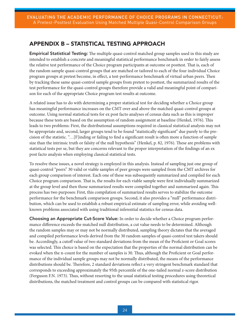## <span id="page-23-0"></span>APPENDIX B – STATISTICAL TESTING APPROACH

Empirical Statistical Testing: The multiple quasi-control matched group samples used in this study are intended to establish a concrete and meaningful statistical performance benchmark in order to fairly assess the relative test performance of the Choice program participants at outcome or posttest. That is, each of the random sample quasi-control groups that are matched or tailored to each of the four individual Choice program groups at pretest become, in effect, a test-performance benchmark of virtual urban peers. Then by tracking these same quasi-control sample groups from pretest to posttest, the summarized results of the test performance for the quasi-control groups therefore provide a valid and meaningful point of comparison for each of the appropriate Choice program test results at outcome.

A related issue has to do with determining a proper statistical test for deciding whether a Choice group has meaningful performance increases on the CMT over and above the matched quasi-control groups at outcome. Using normal statistical tests for ex post facto analyses of census data such as this is improper because these tests are based on the assumption of random assignment at baseline (Henkel, 1976). This leads to two problems: First, the distributional assumptions required in classical statistical analysis may not be appropriate and, second, larger groups tend to be found "statistically significant" due purely to the precision of the statistic. "…[F]inding or failing to find a significant result is often more a function of sample size than the intrinsic truth or falsity of the null hypothesis" (Henkel, p. 82, 1976). These are problems with statistical tests per se, but they are concerns relevant to the proper interpretation of the findings of an ex post facto analysis when employing classical statistical tests.

To resolve these issues, a novel strategy is employed in this analysis. Instead of sampling just one group of quasi-control "peers" 30 valid or viable samples of peer groups were sampled from the CMT archives for each group comparison of interest. Each one of these was subsequently summarized and compiled for each Choice program comparison. That is, the results for each viable sample were first individually summarized at the group level and then those summarized results were compiled together and summarized again. This process has two purposes: First, this compilation of summarized results serves to stabilize the outcome performance for the benchmark comparison groups. Second, it also provides a "null" performance distribution, which can be used to establish a robust empirical estimate of sampling error, while avoiding wellknown problems associated with using traditional inferential statistics for census data.

Choosing an Appropriate Cut-Score Value: In order to decide whether a Choice program performance difference exceeds the matched null distribution, a cut value needs to be determined. Although the random samples may or may not be normally distributed, sampling theory dictates that the averaged and compiled performance levels derived from the 30 random samples of quasi-control test takers should be. Accordingly, a cutoff value of two standard deviations from the mean of the Proficient or Goal scores was selected. This choice is based on the expectation that the properties of the normal distribution can be evoked when the n-count for the number of samples is 30. Thus, although the Proficient or Goal performance of the individual sample groups may not be normally distributed, the means of the performance distributions should be. Therefore, 2 standard deviations reflect a very stringent benchmark standard that corresponds to exceeding approximately the 95th percentile of the one-tailed normal z-score distribution (Ferguson F.N. 1973). Thus, without resorting to the usual statistical testing procedures using theoretical distributions, the matched treatment and control groups can be compared with statistical rigor.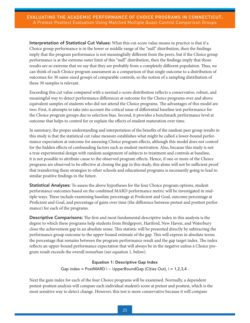Interpretation of Statistical Cut Values: What this cut-score value means in practice is that if a Choice group performance is in the lower or middle range of the "null" distribution, then the findings imply that the program performance is not meaningfully different from the peers, but if the Choice group performance is at the extreme outer limit of this "null" distribution, then the findings imply that those results are so extreme that we say that they are probably from a completely different population. Thus, we can think of each Choice program assessment as a comparison of that single outcome to a distribution of outcomes for 30 same-sized groups of comparable controls, so the notion of a sampling distribution of these 30 samples is relevant.

Exceeding this cut value compared with a normal z-score distribution reflects a conservative, robust, and meaningful way to detect performance differences at outcome for the Choice programs over and above equivalent samples of students who did not attend the Choice programs. The advantages of this model are two: First, it attempts to take into account the critical issue of differential baseline test performance for the Choice program groups due to selection bias. Second, it provides a benchmark performance level at outcome that helps to control for or explain the effects of student maturation over time.

In summary, the proper understanding and interpretation of the benefits of the random peer group results in this study is that the statistical cut value measure establishes what might be called a lower-bound performance expectation at outcome for assessing Choice program effects, although this model does not control for the hidden effects of confounding factors such as student motivation. Also, because this study is not a true experimental design with random assignment of subjects to treatment and controls at baseline, it is not possible to attribute cause to the observed program effects. Hence, if one or more of the Choice programs are observed to be effective at closing the gap in this study, this alone will not be sufficient proof that transferring these strategies to other schools and educational programs is necessarily going to lead to similar positive findings in the future.

Statistical Analyses: To assess the above hypotheses for the four Choice program options, student performance outcomes based on the combined MARD performance metric will be investigated in multiple ways. These include examining baseline percentage at Proficient and Goal, outcome percentage at Proficient and Goal, and percentage of gains over time (the difference between pretest and posttest performance) for each of the programs.

Descriptive Comparisons: The first and most fundamental descriptive index in this analysis is the degree to which these programs help students from Bridgeport, Hartford, New Haven, and Waterbury close the achievement gap in an absolute sense. This statistic will be presented directly by subtracting the performance group outcome to the upper-bound estimate of the gap. This will express in absolute terms the percentage that remains between the program performance result and the gap target index. The index reflects an upper-bound performance expectation that will always be in the negative unless a Choice program result exceeds the overall nonurban (see equation 1, below).

## Equation 1: Descriptive Gap Index

Gap index = PostMARD i − UpperBoundGap (Cities Out), i = 1,2,3,4.

Next the gain index for each of the four Choice programs will be examined. Normally, a dependent pretest-posttest analysis will compare each individual student's score at pretest and posttest, which is the most sensitive way to detect change. However, this test is more conservative because it will compare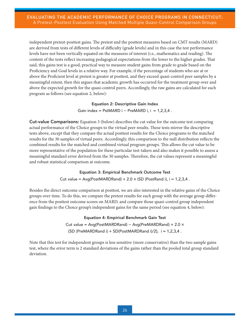independent pretest-posttest gains. The pretest and the posttest measures based on CMT results (MARD) are derived from tests of different levels of difficulty (grade levels) and in this case the test performance levels have not been vertically equated on the measures of interest (i.e., mathematics and reading). The content of the tests reflect increasing pedagogical expectations from the lower to the higher grades. That said, this gains test is a good, practical way to measure student gains from grade to grade based on the Proficiency and Goal levels in a relative way. For example, if the percentage of students who are at or above the Proficient level at pretest is greater at posttest, and they exceed quasi-control peer samples by a meaningful extent, then this argues that academic growth has occurred for the treatment group over and above the expected growth for the quasi-control peers. Accordingly, the raw gains are calculated for each program as follows (see equation 2, below):

## Equation 2: Descriptive Gain Index

Gain index =  $PstMARD$  i −  $PreMARD$  i, i = 1,2,3,4.

Cut-value Comparisons: Equation 3 (below) describes the cut value for the outcome test comparing actual performance of the Choice groups to the virtual peer results. These tests mirror the descriptive tests above, except that they compare the actual posttest results for the Choice programs to the matched results for the 30 samples of virtual peers. Accordingly, this comparison to the null distribution reflects the combined results for the matched and combined virtual program groups. This allows the cut value to be more representative of the population for these particular test-takers and also makes it possible to assess a meaningful standard error derived from the 30 samples. Therefore, the cut values represent a meaningful and robust statistical comparison at outcome.

## Equation 3: Empirical Benchmark Outcome Test

Cut value =  $Avg(PostMARDRand) + 2.0 \times (SD (PostRand i), i = 1,2,3,4$ .

Besides the direct outcome comparison at posttest, we are also interested in the relative gains of the Choice groups over time. To do this, we compare the pretest results for each group with the average group difference from the posttest outcome scores on MARD, and compare those quasi-control group independent gain findings to the Choice group's independent gains for the same period (see equation 4, below):

> Equation 4: Empirical Benchmark Gain Test Cut value = Avg(PostMARDRand) − Avg(PreMARDRand) + 2.0 ×  ${SD (PreMARKDR and i) + SD (PostMARKDR and i)/2}, i = 1,2,3,4$ .

Note that this test for independent groups is less sensitive (more conservative) than the two sample gains test, where the error term is 2 standard deviations of the gains rather than the pooled total group standard deviation.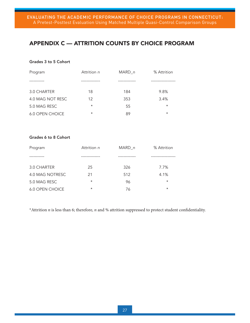## <span id="page-26-0"></span>APPENDIX C — ATTRITION COUNTS BY CHOICE PROGRAM

## Grades 3 to 5 Cohort

| Program                | Attrition <i>n</i> | MARD n | % Attrition |
|------------------------|--------------------|--------|-------------|
|                        |                    |        |             |
| 3.0 CHARTER            | 18                 | 184    | 9.8%        |
| 4.0 MAG NOT RESC       | 12                 | 353    | 3.4%        |
| 5.0 MAG RESC           | $\star$            | 55     | $\star$     |
| <b>6.0 OPEN CHOICE</b> | $^\star$           | 89     | $^\star$    |

## Grades 6 to 8 Cohort

| Program                | Attrition n | MARD n | % Attrition |
|------------------------|-------------|--------|-------------|
|                        |             |        |             |
| 3.0 CHARTER            | 25          | 326    | 7.7%        |
| 4.0 MAG NOTRESC        | 21          | 512    | 4.1%        |
| 5.0 MAG RESC           | $\star$     | 96     | $\star$     |
| <b>6.0 OPEN CHOICE</b> | $\star$     | 76     | $^\star$    |

\*Attrition *n* is less than 6; therefore, *n* and % attrition suppressed to protect student confidentiality.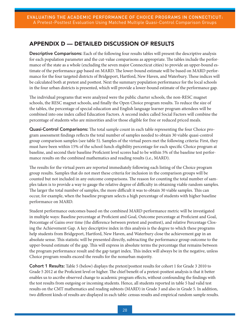## <span id="page-27-0"></span>APPENDIX D — DETAILED DISCUSSION OF RESULTS

Descriptive Comparisons: Each of the following four results tables will present the descriptive analysis for each population parameter and the cut-value comparisons as appropriate. The tables include the performance of the state as a whole (excluding the seven major Connecticut cities) to provide an upper-bound estimate of the performance gap based on MARD. The lower-bound estimate will be based on MARD performance for the four targeted districts of Bridgeport, Hartford, New Haven, and Waterbury. These indices will be calculated both at pretest and posttest. Next the summary population performance for the local schools in the four urban districts is presented, which will provide a lower-bound estimate of the performance gap.

The individual programs that were analyzed were the public charter schools, the non-RESC magnet schools, the RESC magnet schools, and finally the Open Choice program results. To reduce the size of the tables, the percentage of special education and English language learner program attendees will be combined into one index called Education Factors. A second index called Social Factors will combine the percentage of students who are minorities and/or those eligible for free or reduced priced meals.

Quasi-Control Comparisons: The total sample count in each table representing the four Choice program assessment findings reflects the total number of samples needed to obtain 30 viable quasi-control group comparison samples (see table 5). Samples of the virtual peers met the following criteria: First, they must have been within 15% of the school-lunch eligibility percentage for each specific Choice program at baseline, and second their baseline Proficient level scores had to be within 5% of the baseline test performance results on the combined mathematics and reading results (i.e., MARD).

The results for the virtual peers are reported immediately following each listing of the Choice program group results. Samples that do not meet these criteria for inclusion in the comparison groups will be counted but not included in any outcome comparisons. The reason for counting the total number of samples taken is to provide a way to gauge the relative degree of difficulty in obtaining viable random samples. The larger the total number of samples, the more difficult it was to obtain 30 viable samples. This can occur, for example, when the baseline program selects a high percentage of students with higher baseline performance on MARD.

Student performance outcomes based on the combined MARD performance metric will be investigated in multiple ways: Baseline percentage at Proficient and Goal, Outcome percentage at Proficient and Goal, Percentage of Gains over time (the difference between pretest and posttest), and relative Percentage Closing the Achievement Gap. A key descriptive index in this analysis is the degree to which these programs help students from Bridgeport, Hartford, New Haven, and Waterbury close the achievement gap in an absolute sense. This statistic will be presented directly, subtracting the performance group outcome to the upper-bound estimate of the gap. This will express in absolute terms the percentage that remains between the program performance result and the gap target index. This index will always be in the negative, unless Choice program results exceed the results for the nonurban majority.

Cohort 1 Results: Table 5 (below) displays the pretest/posttest results for cohort 1 for Grade 3 2010 to Grade 5 2012 at the Proficient level or higher. The chief benefit of a pretest-posttest analysis is that it better enables us to ascribe observed change to academic program effects, without confounding the findings with the test results from outgoing or incoming students. Hence, all students reported in table 5 had valid test results on the CMT mathematics and reading subtests (MARD) in Grade 3 and also in Grade 5. In addition, two different kinds of results are displayed in each table: census results and empirical random sample results.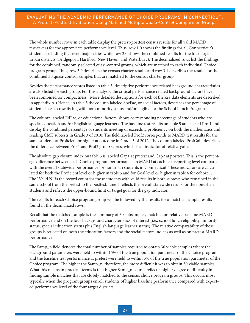The whole number rows in each table display the pretest-posttest census results for all valid MARD test-takers for the appropriate performance level. Thus, row 1.0 shows the findings for all Connecticut's students excluding the seven major cities while row 2.0 shows the combined results for the four target urban districts (Bridgeport, Hartford, New Haven, and Waterbury). The decimalized rows list the findings for the combined, randomly selected quasi-control groups, which are matched to each individual Choice program group. Thus, row 3.0 describes the census charter results and row 3.1 describes the results for the combined 30 quasi-control samples that are matched to the census charter group.

Besides the performance scores listed in table 5, descriptive performance-related background characteristics are also listed for each group. For this analysis, the critical performance related background factors have been combined for compactness. (More detailed descriptions for each of the key data elements are described in appendix A.) Hence, in table 5 the column labeled SocFac, or social factors, describes the percentage of students in each row listing with both minority status and/or eligible for the School Lunch Program.

The column labeled EdFac, or educational factors, shows corresponding percentage of students who are special education and/or English language learners. The baseline test results on table 5 are labeled Prof1 and display the combined percentage of students meeting or exceeding proficiency on both the mathematics and reading CMT subtests in Grade 3 of 2010. The field labeled Prof2 corresponds to MARD test results for the same students at Proficient or higher at outcome in Grade 5 of 2012. The column labeled ProfGain describes the difference between Prof1 and Prof2 group scores, which is an indicator of relative gain.

The absolute gap closure index on table 5 is labeled Gap1 at pretest and Gap2 at posttest. This is the percentage difference between each Choice program performance on MARD at each test-reporting level compared with the overall statewide performance for nonurban students in Connecticut. These indicators are calculated for both the Proficient level or higher in table 5 and for Goal level or higher in table 6 for cohort 1. The "Valid N" is the record count for those students with valid results in both subtests who remained in the same school from the pretest to the posttest. Line 1 reflects the overall statewide results for the nonurban students and reflects the upper-bound limit or target goal for the gap indicator.

The results for each Choice program group will be followed by the results for a matched sample results found in the decimalized rows.

Recall that the matched sample is the summary of 30 subsamples, matched on relative baseline MARD performance and on the four background characteristics of interest (i.e., school lunch eligibility, minority status, special education status plus English language learner status). The relative comparability of these groups is reflected on both the education factors and the social factors indices as well as on pretest MARD performance.

The Samp\_n field denotes the total number of samples required to obtain 30 viable samples where the background parameters were held to within 15% of the true population parameter of the Choice program and the baseline test performance at pretest were held to within 5% of the true population parameter of the Choice program. The higher the Samp\_n, therefore, the more difficult it was to obtain 30 viable samples. What this means in practical terms is that higher Samp\_n counts reflect a higher degree of difficulty in finding sample matches that are closely matched to the census choice program groups. This occurs most typically when the program groups enroll students of higher baseline performance compared with expected performance level of the four target districts.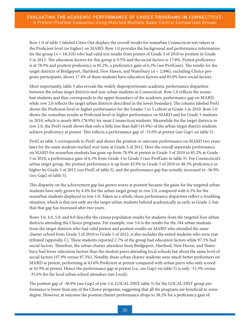Row 1.0 of table 5 labeled Cities Out displays the overall results for nonurban Connecticut test-takers at the Proficient level (or higher) on MARD. Row 1.0 provides the background and performance information for the group (*n* = 18,318) who had valid test results from pretest of Grade 3 of 2010 to posttest in Grade 5 in 2012. The education factors for this group is 9.5% and the social factors is 17.8%. Pretest proficiency is at 78.9% and posttest proficiency is 85.2%, a proficiency gain of 6.3% (see ProfGain). The results for the target districts of Bridgeport, Hartford, New Haven, and Waterbury (*n* = 2,496), excluding Choice program participants, shows 17.4% of these students have education factors and 85.0% have social factors.

More importantly, table 5 also reveals the widely disproportionate academic performance disparities between the urban target districts and non-urban students in Connecticut. Row 1.0 reflects the nonurban students and thus corresponds to the upper boundary of the academic performance gap on MARD, while row 2.0 reflects the target urban districts described in the lower boundary. The column labeled Prof1 shows the Proficient level or higher performance for the Grades 3 to 5 cohort at Grade 3 in 2010. Row 1.0 shows the nonurban results at Proficient level or higher performance on MARD and for Grade 3 students in 2010, which is nearly 80% (78.9%) for most Connecticut students. Meanwhile for the target districts in row 2.0, the Prof1 result shows that only a little less than half (43.9%) of the urban target district students achieve proficiency at pretest. This reflects a performance gap of -35.0% at pretest (see Gap1 on table 5).

Prof2 in table 5 corresponds to Prof1 and shows the posttest or outcome performance on MARD two years later for the same students tracked over time at Grade 5 of 2012. Here the overall statewide performance on MARD for nonurban students has gone up from 78.9% at pretest in Grade 3 of 2010 to 85.2% at Grade 5 in 2010, a performance gain of 6.3% from Grade 3 to Grade 5 (see ProfGain in table 5). For Connecticut's urban target group, the posttest performance is up from 43.9% in Grade 3 of 2010 to 48.3% proficiency or higher by Grade 5 of 2012 (see Prof2 of table 5), and the performance gap has actually increased to -36.9% (see Gap2 of table 5).

This disparity on the achievement gap has grown worse at posttest because the gains for the targeted urban students have only grown by 4.4% for the urban target group in row 2.0, compared with 6.3% for the nonurban students displayed in row 1.0. Taken as a whole, these performance disparities reflect a troubling situation, which is that not only are the target urban students behind academically as early as Grade 3, but that that gap has increased after two years.

Rows 3.0, 4.0, 5.0, and 6.0 describe the census population results for students from the targeted four urban districts attending the Choice programs. For example, row 3.0 is the results for the 184 urban students from the target districts who had valid pretest and posttest results on MARD who attended the same charter school from Grade 3 of 2010 to Grade 5 of 2012; it also includes the exited students who were reattributed (appendix C). These students reported 2.7% of the group had education factors while 97.3% had social factors. Therefore, the urban charter attendees from Bridgeport, Hartford, New Haven, and Waterbury had fewer education factors than the student peers attending local schools but about the same level of social factors (97.9% versus 97.3%). Notably, these urban charter students were much better performers on MARD at pretest, performing at 63.6% Proficient at pretest compared with urban peers who only scored at 43.9% at pretest. Hence the performance gap at pretest (i.e., see Gap1 on table 5) is only -15.3% versus -35.0% for the local urban school attendees (see Local).

The posttest gap of -36.9% (see Gap2 of row 1.0, LOCAL DIST, table 5) for the LOCAL DIST group performance is lower than any of the Choice programs, suggesting that all the programs are beneficial to some degree. However, at outcome the posttest charter performance drops to 58.2% for a proficiency gain of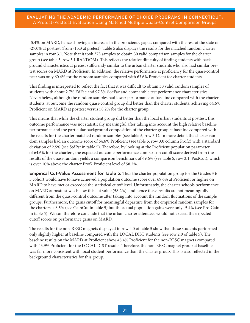-5.4% on MARD, hence showing an increase in the proficiency gap as compared with the rest of the state of -27.0% at posttest (from -15.3 at pretest). Table 5 also displays the results for the matched random charter samples in row 3.1. Note that it took 373 samples to obtain 30 valid comparison samples for the charter group (see table 5, row 3.1 RANDOM). This reflects the relative difficulty of finding students with background characteristics at pretest sufficiently similar to the urban charter students who also had similar pretest scores on MARD at Proficient. In addition, the relative performance at proficiency for the quasi-control peer was only 60.4% for the random samples compared with 63.6% Proficient for charter students.

This finding is interpreted to reflect the fact that it was difficult to obtain 30 valid random samples of students with about 2.7% EdFac and 97.3% SocFac and comparable test performance characteristics. Nevertheless, although the random samples had lower performance at baseline compared with the charter students, at outcome the random quasi-control group did better than the charter students, achieving 64.6% Proficient on MARD at posttest versus 58.2% for the charter group.

This means that while the charter student group did better than the local urban students at posttest, this outcome performance was not statistically meaningful after taking into account the high relative baseline performance and the particular background composition of the charter group at baseline compared with the results for the charter matched random samples (see table 5, row 3.1). In more detail, the charter random samples had an outcome score of 64.6% Proficient (see table 5, row 3.0 column Prof2) with a standard deviation of 2.5% (see StdPst in table 5). Therefore, by looking at the Proficient population parameter of 64.6% for the charters, the expected outcome performance comparison cutoff score derived from the results of the quasi-random yields a comparison benchmark of 69.6% (see table 5, row 3.1, PostCut), which is over 10% above the charter Prof2 Proficient level of 58.2%.

Empirical Cut-Value Assessment for Table 5: Thus the charter population group for the Grades 3 to 5 cohort would have to have achieved a population outcome score over 69.6% at Proficient or higher on MARD to have met or exceeded the statistical cutoff level. Unfortunately, the charter schools performance on MARD at posttest was below this cut value (58.2%), and hence these results are not meaningfully different from the quasi-control outcome after taking into account the random fluctuations of the sample groups. Furthermore, the gains cutoff for meaningful departure from the empirical random samples for the charters is 8.5% (see GainCut in table 5) but the actual population gains were only -5.4% (see ProfGain in table 5). We can therefore conclude that the urban charter attendees would not exceed the expected cutoff scores on performance gains on MARD.

The results for the non-RESC magnets displayed in row 4.0 of table 5 show that these students performed only slightly higher at baseline compared with the LOCAL DIST students (see row 2.0 of table 5). The baseline results on the MARD at Proficient show 48.4% Proficient for the non-RESC magnets compared with 43.9% Proficient for the LOCAL DIST results. Therefore, the non-RESC magnet group at baseline was far more consistent with local student performance than the charter group. This is also reflected in the background characteristics for this group.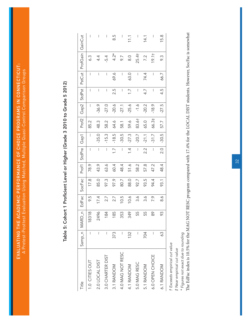EVALUATING THE ACADEMIC PERFORMANCE OF CHOICE PROGRAMS IN CONNECTICUT: EVALUATING THE ACADEMIC PERFORMANCE OF CHOICE PROGRAMS IN CONNECTICUT: A Pretest-Posttest Evaluation Using Matched, Multiple Quasi-Control Comparison Groups A Pretest-Posttest Evaluation Using Matched, Multiple Quasi-Control Comparison Groups

# Table 5: Cohort 1 Proficient Level or Higher (Grade 3 2010 to Grade 5 2012) Table 5: Cohort 1 Proficient Level or Higher (Grade 3 2010 to Grade 5 2012)

| $\frac{1}{1}$    |     | Samp_n MARD_n | EdFac            | SocFac | Prof1 | StdPre                   | Gap1         | Proof2 |                      | Gap2 StdPst              |                          | PstCut   ProfGain | GainCut                  |
|------------------|-----|---------------|------------------|--------|-------|--------------------------|--------------|--------|----------------------|--------------------------|--------------------------|-------------------|--------------------------|
| 1.0 CITIES OUT   | ł   | 18318         | 9.5              | 17.8   | 78.9  | $\overline{\phantom{a}}$ | $\mathbf{I}$ | 85.2   | $\mathord{\uparrow}$ | $\mathbf{I}$             | $\mathfrak{f}$           | 6.3               | $\overline{\phantom{a}}$ |
| 2.0 LOCAL DIST   | I   | 96            | 17.4             | 85.0   | 43.9  | $\mathbf{I}$             | $-35.0$      | 48.3   | $-36.9$              | ł                        | $\mathbf{I}$             | 4.4               | ł                        |
| 3.0 CHARTER DIST | ł   | 184           | 2.7              | 97.3   | 63.6  | $\mathbf{I}$             | $-15.3$      | 58.2   | $-27.0$              | $\overline{\phantom{a}}$ | $\mathbf{I}$             | $-5.4$            | $\overline{\phantom{a}}$ |
| 3.1 RANDOM       | 373 | 185           | 2.7              | 97.9   | 60.4  | $\overline{1}$ .         | $-18.5$      | 64.6   | $-20.6$              | 2.5                      | 69.6                     | $4.2*$            | 8.5                      |
| 4.0 MAG NOT RESC | I   | 353           | 10.5             | 80.7   | 48.4  | $\mathbf{I}$             | $-30.5$      | 58.1   | $-27.1$              | $\mathbf{I}$             | $\mathbf{I}$             | 9.7               | I                        |
| 4.1 RANDOM       | 132 | 349           | 10.6             | 88.0   | 51.6  | $\frac{4}{1}$            | $-27.3$      | 59.6   | $-25.6$              | $\overline{1.7}$         | 63.0                     | $\frac{0}{8}$     | 11.1                     |
| 5.0 MAG RESC     | I   | 55            | $3.\overline{6}$ | 92.7   | 58.2  | $\mathbf{I}$             | $-20.7$      | 83.6†  | $-1.6$               | $\overline{\phantom{a}}$ | $\mathord{\text{\rm I}}$ | 25.4 <sup>†</sup> | $\mathbf{I}$             |
| 5.1 RANDOM       | 704 | 55            | $3.\overline{6}$ | 93.5   | 57.8  | $2.\overline{2}$         | $-21.1$      | 65.0   | $-20.2$              | $\overline{4}$ .         | 74.4                     | 7.2               | 14.1                     |
| 6.0 OPEN CHOICE  | ł   | 89            | 7.9              | 94.4   | 47.2  | $\mathfrak l$            | $-31.7$      | 66.3‡  | $-18.9$              | $\mathord{\text{\rm I}}$ | $\mathbf{I}$             | 19.1†             | ł                        |
| 6.1 RANDOM       | 63  | 93            | $\frac{6}{8}$    | 93.1   | 48.4  | 2.0                      | $-30.5$      | 57.7   | $-27.5$              | 4.5                      | 66.7                     | 9.3               | 15.8                     |
|                  |     |               |                  |        |       |                          |              |        |                      |                          |                          |                   |                          |

† Exceeds empirical cut value *† Exceeds empirical cut value*

# Near empirical cut value *‡ Near empirical cut value*

\* Figures not exact due to rounding *\* Figures not exact due to rounding*

The EdFac index is 10.5% for the MAG NOT RESC program compared with 17.4% for the LOCAL DIST students. However, SocFac is somewhat The EdFac index is 10.5% for the MAG NOT RESC program compared with 17.4% for the LOCAL DIST students. However, SocFac is somewhat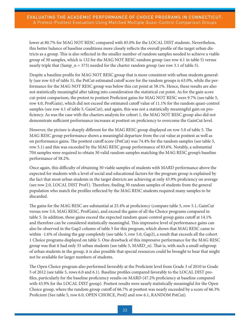lower at 80.7% for MAG NOT RESC compared with 85.0% for the LOCAL DIST students. Nevertheless, this better balance of baseline conditions more closely reflects the overall profile of the target urban districts as a group. This is also reflected in the smaller number of random samples needed to achieve a viable group of 30 samples, which is 132 for the MAG NOT RESC random group (see row 4.1 in table 5) versus nearly triple that (Samp\_n = 373) needed for the charter random group (see row 3.1 of table 5).

Despite a baseline profile for MAG NOT RESC group that is more consistent with urban students generally (see row 4.0 of table 5), the PstCut estimated cutoff score for the random groups is 63.0%, while the performance for the MAG NOT RESC group was below this cut point at 58.1%. Hence, these results are also not statistically meaningful after taking into consideration the statistical cut point. As for the gain score cut-point comparison, the pretest to posttest Proficient gains for MAG NOT RESC were 9.7% (see table 5, row 4.0, ProfGain), which did not exceed the estimated cutoff value of 11.1% for the random quasi-control samples (see row 4.1 of table 5, GainCut), and again, this was not a statistically meaningful gain on proficiency. As was the case with the charters analysis for cohort 1, the MAG NOT RESC group also did not demonstrate sufficient performance increases at posttest on proficiency to overcome the GainCut level.

However, the picture is sharply different for the MAG RESC group displayed on row 5.0 of table 5. The MAG RESC group performance shows a meaningful departure from the cut value at posttest as well as on performance gains. The posttest cutoff score (PstCut) was 74.4% for the random samples (see table 5, row 5.1) and this was exceeded by the MAG RESC group performance of 83.6%. Notably, a substantial 704 samples were required to obtain 30 valid random samples matching the MAG RESC group's baseline performance of 58.2%.

Once again, this difficulty of obtaining 30 viable samples of students with MARD performance above the expected for students with a level of social and educational factors for the program group is explained by the fact that most urban students in the target districts are achieving at only 43.9% proficiency on average (see row 2.0, LOCAL DIST Prof1). Therefore, finding 30 random samples of students from the general population who match the profiles reflected by the MAG RESC students required many samples to be discarded.

The gains for the MAG RESC are substantial at 25.4% at proficiency (compare table 5, row 5.1, GainCut versus row 5.0, MAG RESC, ProfGain), and exceed the gains of all the Choice programs compared in table 5. In addition, these gains exceed the expected random quasi-control group gains cutoff at 14.1% and therefore can be considered statistically meaningful. This impressive level of performance gains can also be observed in the Gap2 column of table 5 for this program, which shows that MAG RESC came to within -1.6% of closing the gap completely (see table 5, row 5.0, Gap2), a result that exceeds all the cohort 1 Choice programs displayed on table 5. One drawback of this impressive performance for the MAG RESC group was that it had only 55 urban students (see table 5, MARD\_n). That is, with such a small subgroup of urban students in the group, it is also possible that special resources could be brought to bear that might not be available for larger numbers of students.

The Open Choice program also performed favorably at the Proficient level from Grade 3 of 2010 to Grade 5 of 2012 (see table 5, rows 6.0 and 6.1). Baseline profiles compared favorably to the LOCAL DIST profiles, particularly for the baseline proficiency results on MARD (47.2% proficiency at baseline compared with 43.9% for the LOCAL DIST group). Posttest results were nearly statistically meaningful for the Open Choice group, where the random group cutoff of 66.7% at posttest was nearly exceeded by a score of 66.3% Proficient (See table 5, row 6.0, OPEN CHOICE, Prof2 and row 6.1, RANDOM PstCut).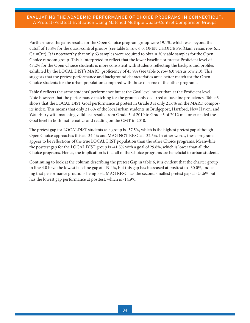Furthermore, the gains results for the Open Choice program group were 19.1%, which was beyond the cutoff of 15.8% for the quasi-control groups (see table 5, row 6.0, OPEN CHOICE ProfGain versus row 6.1, GainCut). It is noteworthy that only 63 samples were required to obtain 30 viable samples for the Open Choice random group. This is interpreted to reflect that the lower baseline or pretest Proficient level of 47.2% for the Open Choice students is more consistent with students reflecting the background profiles exhibited by the LOCAL DIST's MARD proficiency of 43.9% (see table 5, row 6.0 versus row 2.0). This suggests that the pretest performance and background characteristics are a better match for the Open Choice students for the urban population compared with those of some of the other programs.

Table 6 reflects the same students' performance but at the Goal level rather than at the Proficient level. Note however that the performance matching for the groups only occurred at baseline proficiency. Table 6 shows that the LOCAL DIST Goal performance at pretest in Grade 3 is only 21.6% on the MARD composite index. This means that only 21.6% of the local urban students in Bridgeport, Hartford, New Haven, and Waterbury with matching valid test results from Grade 3 of 2010 to Grade 5 of 2012 met or exceeded the Goal level in both mathematics and reading on the CMT in 2010.

The pretest gap for LOCALDIST students as a group is -37.5%, which is the highest pretest gap although Open Choice approaches this at -34.4% and MAG NOT RESC at -32.5%. In other words, these programs appear to be reflections of the true LOCAL DIST population than the other Choice programs. Meanwhile, the posttest gap for the LOCAL DIST group is -41.5% with a goal of 29.8%, which is lower than all the Choice programs. Hence, the implication is that all of the Choice programs are beneficial to urban students.

Continuing to look at the column describing the pretest Gap in table 6, it is evident that the charter group in line 4.0 have the lowest baseline gap at -19.4%, but this gap has increased at posttest to -30.0%, indicating that performance ground is being lost. MAG RESC has the second smallest pretest gap at -24.6% but has the lowest gap performance at posttest, which is -14.9%.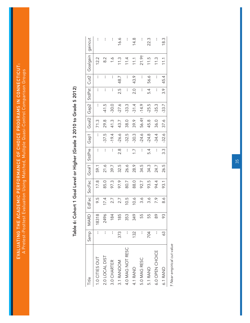EVALUATING THE ACADEMIC PERFORMANCE OF CHOICE PROGRAMS IN CONNECTICUT: EVALUATING THE ACADEMIC PERFORMANCE OF CHOICE PROGRAMS IN CONNECTICUT: A Pretest-Posttest Evaluation Using Matched, Multiple Quasi-Control Comparison Groups A Pretest-Posttest Evaluation Using Matched, Multiple Quasi-Control Comparison Groups

| Fitle            | Samp         | MARD  | EdFac | SocFac | Goal1 | StdPre                   | Gap1           | Goal2 | Gap2    | StdPst                   | Cut2                     | Goalgain          | gaincut |
|------------------|--------------|-------|-------|--------|-------|--------------------------|----------------|-------|---------|--------------------------|--------------------------|-------------------|---------|
| 1.0 CITIES OUT   | ł            | 18318 | 9.5   | 17.8   | 59.1  | ł                        | $\overline{1}$ | 71.3  | ł       | $\mathord{\text{\rm I}}$ | ł                        | 12.2              | ł       |
| 2.0 LOCAL DIST   | I            | 2496  | 17.4  | 85.0   | 21.6  | ł                        | $-37.5$        | 29.8  | $-41.5$ | ł                        | $\overline{\phantom{a}}$ | $\frac{2}{8}$     | ł       |
| 3.0 CHARTER      | I            | 84    | 2.7   | 97.3   | 39.7  | ł                        | $-19.4$        | 41.3  | $-30.0$ | ł                        | $\mathord{\text{\rm I}}$ | $\frac{6}{1}$     | I       |
| 3.1 RANDOM       | 373          | 85    | 2.7   | 97.9   | 32.5  | $\frac{8}{2}$            | $-26.6$        | 43.7  | $-27.6$ | 2.5                      | 48.7                     | 11.3              | 16.6    |
| 4.0 MAG NOT RESC | I            | 353   | 10.5  | 80.7   | 26.6  | $\mathord{\text{\rm I}}$ | $-32.5$        | 38.0  | $-33.3$ | $\overline{\phantom{a}}$ | $\overline{\phantom{a}}$ | 11.4              | I       |
| 4.1 RAND         | 132          | 349   | 10.6  | 88.0   | 28.9  | $\overline{1}$ .         | $-30.3$        | 39.9  | $-31.4$ | 2.0                      | 43.9                     | 111               | 14.8    |
| 5.0 MAG RESC     |              | 55    | 3.6   | 92.7   | 34.5  | $\mathord{\text{\rm I}}$ | $-24.6$        | 56.4† | $-14.9$ | ł                        | $\mathord{\text{\rm I}}$ | 21.9 <sup>†</sup> | I       |
| 5.1 RAND         | 704          | 55    | 3.6   | 93.5   | 34.3  | 5.4                      | $-24.8$        | 45.8  | $-25.5$ | 5.4                      | 56.6                     | 11.5              | 22.3    |
| 6.0 OPEN CHOICE  | $\mathbf{I}$ | 89    | 7.9   | 94.4   | 24.7  | $\mathord{\text{\rm I}}$ | $-34.4$        | 36.0  | $-35.3$ | $\mathbf{I}$             | ł                        | 11.3              | I       |
| 6.1 RAND         | 63           | 93    | 8.6   | 93.1   | 26.5  | 3.3                      | $-32.6$        | 37.6  | $-33.7$ | 3.9                      | 45.4                     | 111               | 18.3    |
|                  |              |       |       |        |       |                          |                |       |         |                          |                          |                   |         |

Table 6: Cohort 1 Goal Level or Higher (Grade 3 2010 to Grade 5 2012) Table 6: Cohort 1 Goal Level or Higher (Grade 3 2010 to Grade 5 2012)

> † Near empirical cut value *† Near empirical cut value*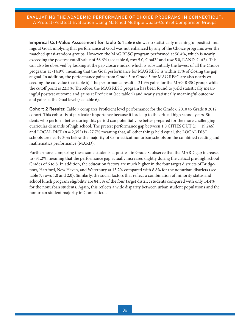Empirical Cut-Value Assessment for Table 6: Table 6 shows no statistically meaningful posttest findings at Goal, implying that performance at Goal was not enhanced by any of the Choice programs over the matched quasi-random groups. However, the MAG RESC program performed at 56.4%, which is nearly exceeding the posttest cutoff value of 56.6% (see table 6, row 5.0, Goal2" and row 5.0, RAND, Cut2). This can also be observed by looking at the gap closure index, which is substantially the lowest of all the Choice programs at -14.9%, meaning that the Goal performance for MAG RESC is within 15% of closing the gap at goal. In addition, the performance gains from Grade 3 to Grade 5 for MAG RESC are also nearly exceeding the cut value (see table 6). The performance result is 21.9% gains for the MAG RESC group, while the cutoff point is 22.3%. Therefore, the MAG RESC program has been found to yield statistically meaningful posttest outcome and gains at Proficient (see table 5) and nearly statistically meaningful outcome and gains at the Goal level (see table 6).

Cohort 2 Results: Table 7 compares Proficient level performance for the Grade 6 2010 to Grade 8 2012 cohort. This cohort is of particular importance because it leads up to the critical high school years. Students who perform better during this period can potentially be better prepared for the more challenging curricular demands of high school. The pretest performance gap between 1.0 CITIES OUT (*n* = 19,246) and LOCAL DIST (*n* = 2,352) is -27.7% meaning that, all other things held equal, the LOCAL DIST schools are nearly 30% below the majority of Connecticut nonurban schools on the combined reading and mathematics performance (MARD).

Furthermore, comparing these same students at posttest in Grade 8, observe that the MARD gap increases to -31.2%, meaning that the performance gap actually increases slightly during the critical pre-high school Grades of 6 to 8. In addition, the education factors are much higher in the four target districts of Bridgeport, Hartford, New Haven, and Waterbury at 15.2% compared with 8.8% for the nonurban districts (see table 7, rows 1.0 and 2.0). Similarly, the social factors that reflect a combination of minority status and school lunch program eligibility are 84.3% of the four target district students compared with only 14.4% for the nonurban students. Again, this reflects a wide disparity between urban student populations and the nonurban student majority in Connecticut.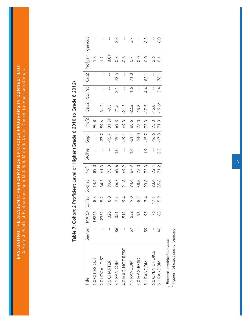EVALUATING THE ACADEMIC PERFORMANCE OF CHOICE PROGRAMS IN CONNECTICUT: EVALUATING THE ACADEMIC PERFORMANCE OF CHOICE PROGRAMS IN CONNECTICUT: A Pretest-Posttest Evaluation Using Matched, Multiple Quasi-Control Comparison Groups A Pretest-Posttest Evaluation Using Matched, Multiple Quasi-Control Comparison Groups

| <b>Title</b>     | Sampn         | <b>MARD</b> | EdFac         | SocFac | Prof1 | StdPre         | Gap1    | Prof <sub>2</sub> | Gap2     | <b>StdPst</b>    | Cut2                     | Profgain         | qaincut |
|------------------|---------------|-------------|---------------|--------|-------|----------------|---------|-------------------|----------|------------------|--------------------------|------------------|---------|
| 1.0 CITIES OUT   | ł             | 19246       | 8.8           | 14.4   | 89.0  | I              |         | 90.8              |          |                  | ł                        | $\frac{8}{1}$    |         |
| 2.0 LOCAL DIST   | I             | 2352        | 15.2          | 84.3   | 61.3  | ł              | $-27.7$ | 59.6              | $-31.2$  | ł                | ł                        | $\overline{.}$   |         |
| 3.0 CHARTER      | I             | 326         | $\frac{0}{8}$ | 99.4   | 73.3  | I              | $-15.7$ | 81.3 <sup>†</sup> | $-9.5$   | I                | ł                        | 8.0 <sub>†</sub> | I       |
| 3.1 RANDOM       | 86            | 351         | 7.7           | 96.7   | 69.6  | $\frac{0}{1}$  | $-19.4$ | 69.3              | $-21.5$  | $\overline{2.1}$ | 73.5                     | $-0.3$           | 2.8     |
| 4.0 MAG NOT RESC | I             | 512         | 6.4           | 91.8   | 69.9  | I              | $-19.1$ | 69.3              | $-21.5$  | I                | $\overline{\phantom{a}}$ | $-0.6$           |         |
| 4.1 RANDOM       | 57            | 532         | 9.0           | 94.4   | 67.9  | $\overline{4}$ | $-21.1$ | 68.6              | $-22.2$  | $\frac{6}{1}$    | 71.8                     | $\overline{0.7}$ | 3.7     |
| 5.0 MAG RESC     | I             | 96          | 5.2           | 88.5   | 75.0  | $\mathbf{I}$   | $-14.0$ | 75.0              | $-15.8$  | $\mathbf{I}$     | $\overline{\phantom{a}}$ | $\frac{0}{0}$    |         |
| 5.1 RANDOM       | 59            | 95          | 7.4           | 93.8   | 73.3  | $\frac{6}{1}$  | $-15.7$ | 73.3              | $-17.5$  | 4.4              | 82.1                     | 0.0              | 6.3     |
| 6.0 OPEN CHOICE  | I             | 76          | 17.1          | 93.4   | 72.4  | I              | $-16.6$ | 75.0              | $-15.8$  | $\mathbf{I}$     | $\overline{\phantom{a}}$ | 2.6              |         |
| 6.1 RANDOM       | $\frac{4}{6}$ | 88          | 15.9          | 85.6   | 71.2  | 2.5            | $-17.8$ | 71.3              | $-19.6*$ | 3.4              | 78.1                     | $\overline{C}$   | 6.0     |

## Table 7: Cohort 2 Proficient Level or Higher (Grade 6 2010 to Grade 8 2012) Table 7: Cohort 2 Proficient Level or Higher (Grade 6 2010 to Grade 8 2012)

† Exceeds empirical cut value *† Exceeds empirical cut value* \* Figures not exact due to rounding *\* Figures not exact due to rounding*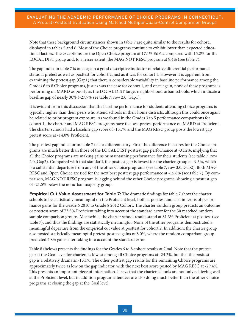Note that these background circumstances shown in table 7 are quite similar to the results for cohort1 displayed in tables 5 and 6. Most of the Choice programs continue to exhibit lower than expected educational factors. The exceptions are the Open Choice program at 17.1% EdFac compared with 15.2% for the LOCAL DIST group and, to a lesser extent, the MAG NOT RESC program at 9.4% (see table 7).

The gap index in table 7 is once again a good descriptive indicator of relative differential performance status at pretest as well as posttest for cohort 2, just as it was for cohort 1. However it is apparent from examining the pretest gap (Gap1) that there is considerable variability in baseline performance among the Grades 6 to 8 Choice programs, just as was the case for cohort 1, and once again, none of these programs is performing on MARD as poorly as the LOCAL DIST target neighborhood urban schools, which indicate a baseline gap of nearly 30% (-27.7% see table 7, row 2.0, Gap1).

It is evident from this discussion that the baseline performance for students attending choice programs is typically higher than their peers who attend schools in their home districts, although this could once again be related to prior program exposure. As we found in the Grades 3 to 5 performance comparisons for cohort 1, the charter and MAG RESC programs have the best pretest performance on MARD at Proficient. The charter schools had a baseline gap score of -15.7% and the MAG RESC group posts the lowest gap pretest score at -14.0% Proficient.

The posttest gap indicator in table 7 tells a different story. First, the difference in scores for the Choice programs are much better than those of the LOCAL DIST posttest gap performance at -31.2%, implying that all the Choice programs are making gains or maintaining performance for their students (see table 7, row 2.0, Gap2). Compared with that standard, the posttest gap is lowest for the charter group at -9.5%, which is a substantial departure from any of the other Choice programs (see table 7, row 3.0, Gap2). Both MAG RESC and Open Choice are tied for the next best posttest gap performance at -15.8% (see table 7). By comparison, MAG NOT RESC program is lagging behind the other Choice programs, showing a posttest gap of -21.5% below the nonurban majority group.

**Empirical Cut Value Assessment for Table 7:** The dramatic findings for table 7 show the charter schools to be statistically meaningful on the Proficient level, both at posttest and also in terms of performance gains for the Grade 6 2010 to Grade 8 2012 Cohort. The charter random group predicts an outcome or posttest score of 73.5% Proficient taking into account the standard error for the 30 matched random sample comparison groups. Meanwhile, the charter school results stand at 81.3% Proficient at posttest (see table 7), and thus the findings are statistically meaningful. None of the other programs demonstrated a meaningful departure from the empirical cut value at posttest for cohort 2. In addition, the charter group also posted statistically meaningful pretest-posttest gains of 8.0%, where the random comparison group predicted 2.8% gains after taking into account the standard error.

Table 8 (below) presents the findings for the Grades 6 to 8 cohort results at Goal. Note that the pretest gap at the Goal level for charters is lowest among all Choice programs at -24.2%, but that the posttest gap is a relatively dramatic -15.1%. The other posttest gap results for the remaining Choice programs are approximately twice as low on the gap indicator, with the next best score posted by MAG RESC at -29.4%. This presents an important piece of information. It says that the charter schools are not only achieving well at the Proficient level, but in addition program attendees are also doing much better than the other Choice programs at closing the gap at the Goal level.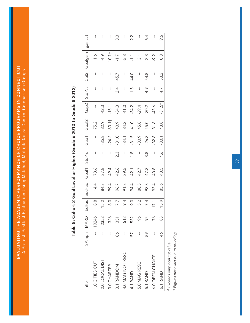EVALUATING THE ACADEMIC PERFORMANCE OF CHOICE PROGRAMS IN CONNECTICUT: EVALUATING THE ACADEMIC PERFORMANCE OF CHOICE PROGRAMS IN CONNECTICUT: A Pretest-Posttest Evaluation Using Matched, Multiple Quasi-Control Comparison Groups A Pretest-Posttest Evaluation Using Matched, Multiple Quasi-Control Comparison Groups

| Title            | SAmpn   MARD  |       | EdFac         | SocFac | Goal1 | <b>StdPre</b>            | Gap1    | Goal <sub>2</sub> | Gap2     | StdPst         | Cut2                     | Goalgain          | gaincut |
|------------------|---------------|-------|---------------|--------|-------|--------------------------|---------|-------------------|----------|----------------|--------------------------|-------------------|---------|
| 1.0 CITIES OUT   |               | 19246 | $\frac{8}{8}$ | 14.4   | 73.6  | ł                        | ł       | 75.2              | ł        | $\overline{1}$ | $\mathfrak l$            |                   | ł       |
| 2.0 LOCAL DIST   | ł             | 2352  | 15.2          | 84.3   | 37.8  | ł                        | $-35.8$ | 32.9              | $-42.3$  | ł              | I                        | $-4.9$            | I       |
| 3.0 CHARTER      | ł             | 326   | $\frac{0}{8}$ | 99.4   | 49.4  | $\mathbf{I}$             | $-24.2$ | 60.1†             | $-15.1$  | $\mathbf{I}$   | $\overline{\phantom{a}}$ | 10.7 <sup>†</sup> | I       |
| 3.1 RANDOM       | 86            | 351   | 7.7           | 96.7   | 42.6  | 2.3                      | $-31.0$ | 40.9              | $-34.3$  | $\frac{4}{2}$  | 45.7                     | $-1.7$            | 3.0     |
| 4.0 MAG NOT RESC | I             | 512   | 6.4           | 91.8   | 39.5  | ł                        | $-34.1$ | 34.2              | $-41.0$  | I              | $\overline{\phantom{a}}$ | -5.3              | I       |
| 4.1 RAND         | 57            | 532   | 0.6           | 94.4   | 42.1  | $\frac{8}{1}$            | $-31.5$ | 41.0              | $-34.2$  | $\ddot{1}$ .   | 44.0                     | $-1.1$            | 2.2     |
| 5.0 MAG RESC     | I             | ò     | 5.2           | 88.5   | 42.7  | ł                        | $-30.9$ | 45.8              | $-29.4$  | I              | $\overline{\phantom{a}}$ | $\overline{3}$ .  | I       |
| 5.1 RAND         | 59            | 95    | 7.4           | 93.8   | 47.3  | 3.8                      | $-26.3$ | 45.0              | $-30.2$  | 4.9            | 54.8                     | $-2.3$            | 6.4     |
| 6.0 OPEN CHOICE  | I             | 26    | 17.1          | 93.4   | 40.8  | I                        | $-32.8$ | 31.6              | $-43.6$  | I              | I                        | $-9.2$            | ł       |
| 6.1 RAND         | $\frac{4}{6}$ | 8     | 15.9          | 85.6   | 43.5  | $\ddot{4} \cdot \dot{6}$ | $-30.1$ | 43.8              | $-31.5*$ | 4.7            | 53.2                     | $0.\overline{3}$  | 9.6     |

## Table 8: Cohort 2 Goal Level or Higher (Grade 6 2010 to Grade 8 2012) Table 8: Cohort 2 Goal Level or Higher (Grade 6 2010 to Grade 8 2012)

† Exceeds empirical cut value *† Exceeds empirical cut value*

\* Figures not exact due to rounding *\* Figures not exact due to rounding* 39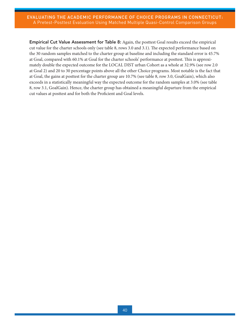Empirical Cut Value Assessment for Table 8: Again, the posttest Goal results exceed the empirical cut value for the charter schools only (see table 8, rows 3.0 and 3.1). The expected performance based on the 30 random samples matched to the charter group at baseline and including the standard error is 45.7% at Goal, compared with 60.1% at Goal for the charter schools' performance at posttest. This is approximately double the expected outcome for the LOCAL DIST urban Cohort as a whole at 32.9% (see row 2.0 at Goal 2) and 20 to 30 percentage points above all the other Choice programs. Most notable is the fact that at Goal, the gains at posttest for the charter group are 10.7% (see table 8, row 3.0, GoalGain), which also exceeds in a statistically meaningful way the expected outcome for the random samples at 3.0% (see table 8, row 3.1, GoalGain). Hence, the charter group has obtained a meaningful departure from the empirical cut values at posttest and for both the Proficient and Goal levels.